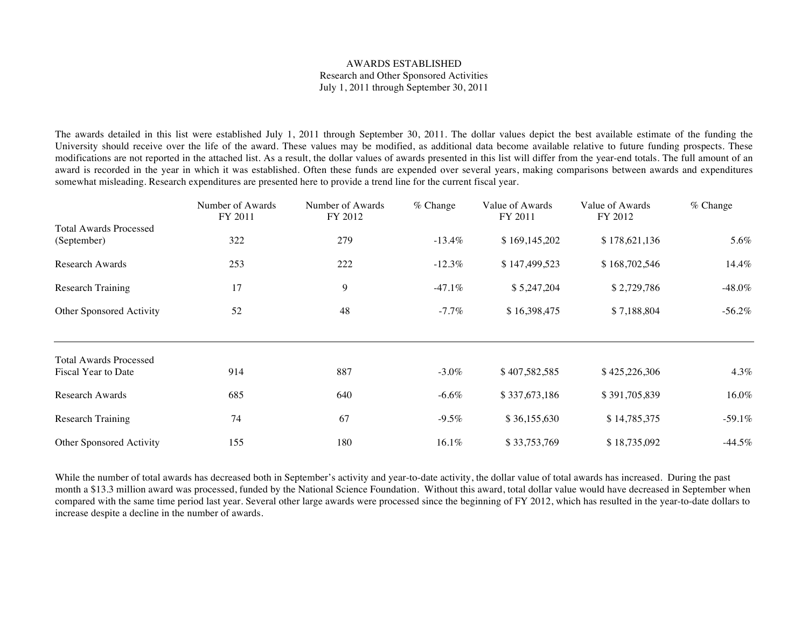## AWARDS ESTABLISHED Research and Other Sponsored Activities July 1, 2011 through September 30, 2011

## Received by the Regents October 13, 2011

The awards detailed in this list were established July 1, 2011 through September 30, 2011. The dollar values depict the best available estimate of the funding the University should receive over the life of the award. These values may be modified, as additional data become available relative to future funding prospects. These modifications are not reported in the attached list. As a result, the dollar values of awards presented in this list will differ from the year-end totals. The full amount of an award is recorded in the year in which it was established. Often these funds are expended over several years, making comparisons between awards and expenditures somewhat misleading. Research expenditures are presented here to provide a trend line for the current fiscal year.

|                               | Number of Awards<br>FY 2011 | Number of Awards<br>FY 2012 | $%$ Change | Value of Awards<br>FY 2011 | Value of Awards<br>FY 2012 | % Change  |
|-------------------------------|-----------------------------|-----------------------------|------------|----------------------------|----------------------------|-----------|
| <b>Total Awards Processed</b> |                             |                             |            |                            |                            |           |
| (September)                   | 322                         | 279                         | $-13.4\%$  | \$169,145,202              | \$178,621,136              | 5.6%      |
| <b>Research Awards</b>        | 253                         | 222                         | $-12.3\%$  | \$147,499,523              | \$168,702,546              | 14.4%     |
| <b>Research Training</b>      | 17                          | 9                           | $-47.1\%$  | \$5,247,204                | \$2,729,786                | -48.0%    |
| Other Sponsored Activity      | 52                          | 48                          | $-7.7\%$   | \$16,398,475               | \$7,188,804                | $-56.2\%$ |
| <b>Total Awards Processed</b> |                             |                             |            |                            |                            |           |
| Fiscal Year to Date           | 914                         | 887                         | $-3.0\%$   | \$407,582,585              | \$425,226,306              | 4.3%      |
| Research Awards               | 685                         | 640                         | $-6.6\%$   | \$337,673,186              | \$391,705,839              | 16.0%     |
| <b>Research Training</b>      | 74                          | 67                          | $-9.5\%$   | \$36,155,630               | \$14,785,375               | $-59.1%$  |
| Other Sponsored Activity      | 155                         | 180                         | 16.1%      | \$33,753,769               | \$18,735,092               | $-44.5%$  |

While the number of total awards has decreased both in September's activity and year-to-date activity, the dollar value of total awards has increased. During the past month a \$13.3 million award was processed, funded by the National Science Foundation. Without this award, total dollar value would have decreased in September when compared with the same time period last year. Several other large awards were processed since the beginning of FY 2012, which has resulted in the year-to-date dollars to increase despite a decline in the number of awards.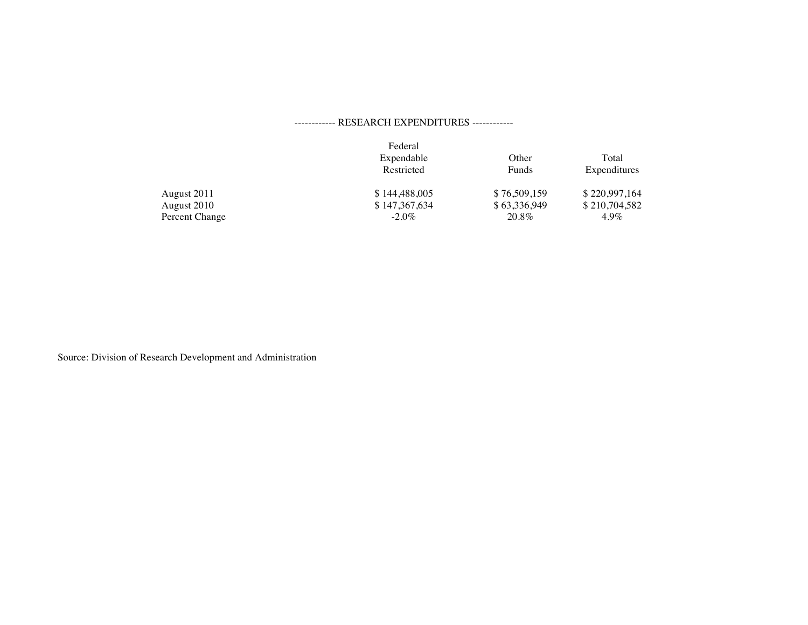## ------------ RESEARCH EXPENDITURES ------------

|                | Federal<br>Expendable<br>Restricted | Other<br>Funds | Total<br>Expenditures |
|----------------|-------------------------------------|----------------|-----------------------|
| August 2011    | \$144,488,005                       | \$76,509,159   | \$220,997,164         |
| August 2010    | \$147,367,634                       | \$63,336,949   | \$210,704,582         |
| Percent Change | $-2.0\%$                            | 20.8%          | $4.9\%$               |

Source: Division of Research Development and Administration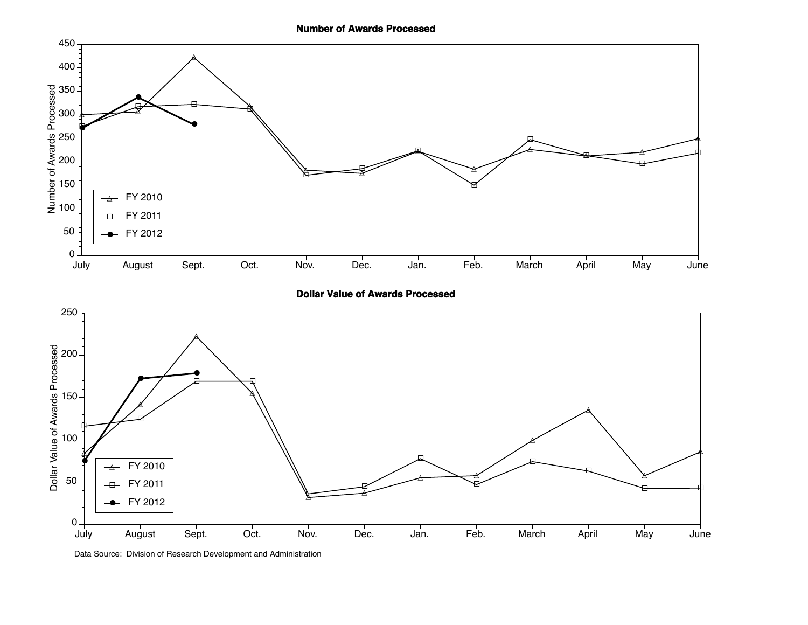**Number of Awards Processed**



**Dollar Value of Awards Processed**



Data Source: Division of Research Development and Administration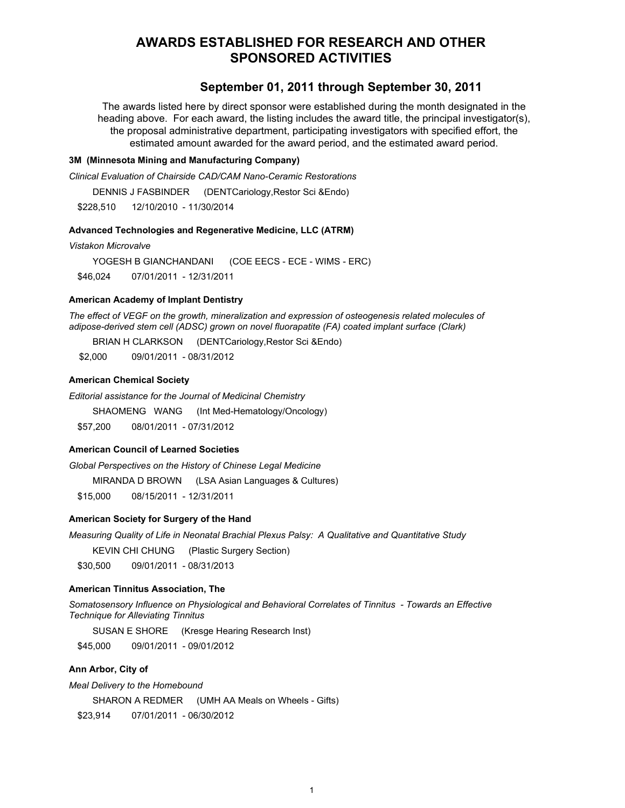# **AWARDS ESTABLISHED FOR RESEARCH AND OTHER SPONSORED ACTIVITIES**

## **September 01, 2011 through September 30, 2011**

The awards listed here by direct sponsor were established during the month designated in the heading above. For each award, the listing includes the award title, the principal investigator(s), the proposal administrative department, participating investigators with specified effort, the estimated amount awarded for the award period, and the estimated award period.

## **3M (Minnesota Mining and Manufacturing Company)**

*Clinical Evaluation of Chairside CAD/CAM Nano-Ceramic Restorations*

DENNIS J FASBINDER (DENTCariology,Restor Sci &Endo)

\$228,510 12/10/2010 - 11/30/2014

## **Advanced Technologies and Regenerative Medicine, LLC (ATRM)**

*Vistakon Microvalve*

YOGESH B GIANCHANDANI (COE EECS - ECE - WIMS - ERC) \$46,024 07/01/2011 - 12/31/2011

### **American Academy of Implant Dentistry**

*The effect of VEGF on the growth, mineralization and expression of osteogenesis related molecules of adipose-derived stem cell (ADSC) grown on novel fluorapatite (FA) coated implant surface (Clark)*

BRIAN H CLARKSON (DENTCariology,Restor Sci &Endo)

\$2,000 09/01/2011 - 08/31/2012

## **American Chemical Society**

*Editorial assistance for the Journal of Medicinal Chemistry*

SHAOMENG WANG (Int Med-Hematology/Oncology)

\$57,200 08/01/2011 - 07/31/2012

## **American Council of Learned Societies**

*Global Perspectives on the History of Chinese Legal Medicine*

MIRANDA D BROWN (LSA Asian Languages & Cultures)

\$15,000 08/15/2011 - 12/31/2011

#### **American Society for Surgery of the Hand**

*Measuring Quality of Life in Neonatal Brachial Plexus Palsy: A Qualitative and Quantitative Study*

KEVIN CHI CHUNG (Plastic Surgery Section)

\$30,500 09/01/2011 - 08/31/2013

### **American Tinnitus Association, The**

*Somatosensory Influence on Physiological and Behavioral Correlates of Tinnitus - Towards an Effective Technique for Alleviating Tinnitus*

SUSAN E SHORE (Kresge Hearing Research Inst)

\$45,000 09/01/2011 - 09/01/2012

## **Ann Arbor, City of**

*Meal Delivery to the Homebound*

SHARON A REDMER (UMH AA Meals on Wheels - Gifts)

\$23,914 07/01/2011 - 06/30/2012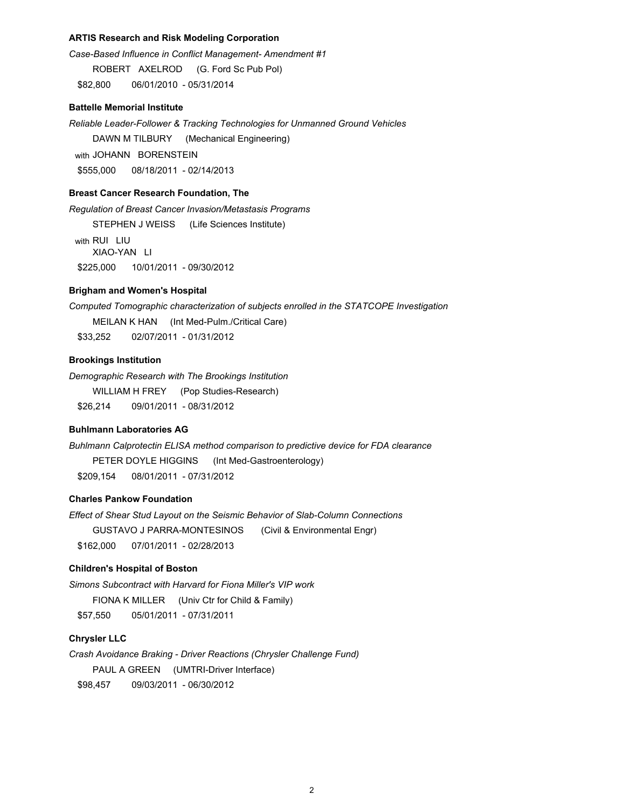## **ARTIS Research and Risk Modeling Corporation**

*Case-Based Influence in Conflict Management- Amendment #1* ROBERT AXELROD (G. Ford Sc Pub Pol) \$82,800 06/01/2010 - 05/31/2014

### **Battelle Memorial Institute**

*Reliable Leader-Follower & Tracking Technologies for Unmanned Ground Vehicles*

DAWN M TILBURY (Mechanical Engineering)

with JOHANN BORENSTEIN \$555,000 08/18/2011 - 02/14/2013

**Breast Cancer Research Foundation, The**

*Regulation of Breast Cancer Invasion/Metastasis Programs* STEPHEN J WEISS (Life Sciences Institute) with RUI LIU XIAO-YAN LI \$225,000 10/01/2011 - 09/30/2012

## **Brigham and Women's Hospital**

*Computed Tomographic characterization of subjects enrolled in the STATCOPE Investigation* MEILAN K HAN (Int Med-Pulm./Critical Care) \$33,252 02/07/2011 - 01/31/2012

### **Brookings Institution**

*Demographic Research with The Brookings Institution* WILLIAM H FREY (Pop Studies-Research)

\$26,214 09/01/2011 - 08/31/2012

## **Buhlmann Laboratories AG**

*Buhlmann Calprotectin ELISA method comparison to predictive device for FDA clearance* PETER DOYLE HIGGINS (Int Med-Gastroenterology) \$209,154 08/01/2011 - 07/31/2012

## **Charles Pankow Foundation**

*Effect of Shear Stud Layout on the Seismic Behavior of Slab-Column Connections* GUSTAVO J PARRA-MONTESINOS (Civil & Environmental Engr) \$162,000 07/01/2011 - 02/28/2013

## **Children's Hospital of Boston**

*Simons Subcontract with Harvard for Fiona Miller's VIP work* FIONA K MILLER (Univ Ctr for Child & Family) \$57,550 05/01/2011 - 07/31/2011

## **Chrysler LLC**

*Crash Avoidance Braking - Driver Reactions (Chrysler Challenge Fund)* PAUL A GREEN (UMTRI-Driver Interface)

\$98,457 09/03/2011 - 06/30/2012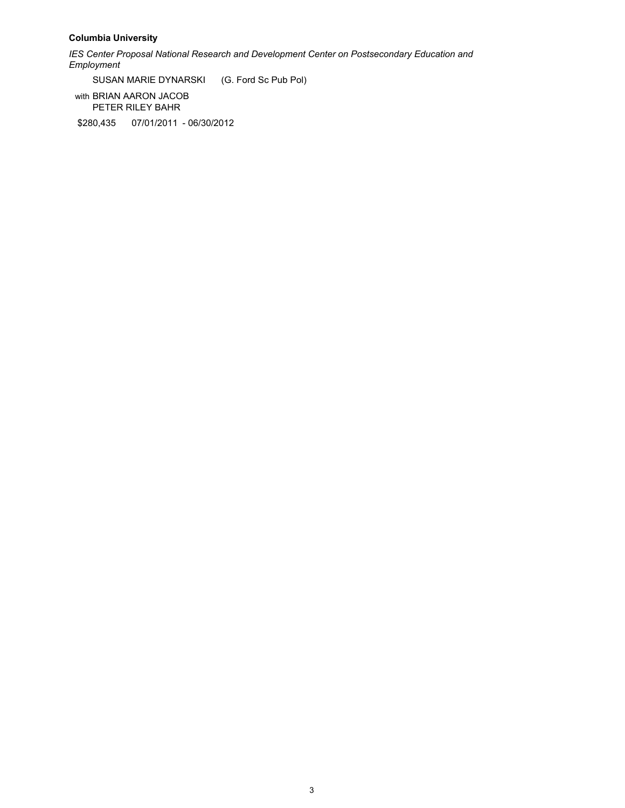## **Columbia University**

*IES Center Proposal National Research and Development Center on Postsecondary Education and Employment*

SUSAN MARIE DYNARSKI (G. Ford Sc Pub Pol)

with BRIAN AARON JACOB PETER RILEY BAHR

\$280,435 07/01/2011 - 06/30/2012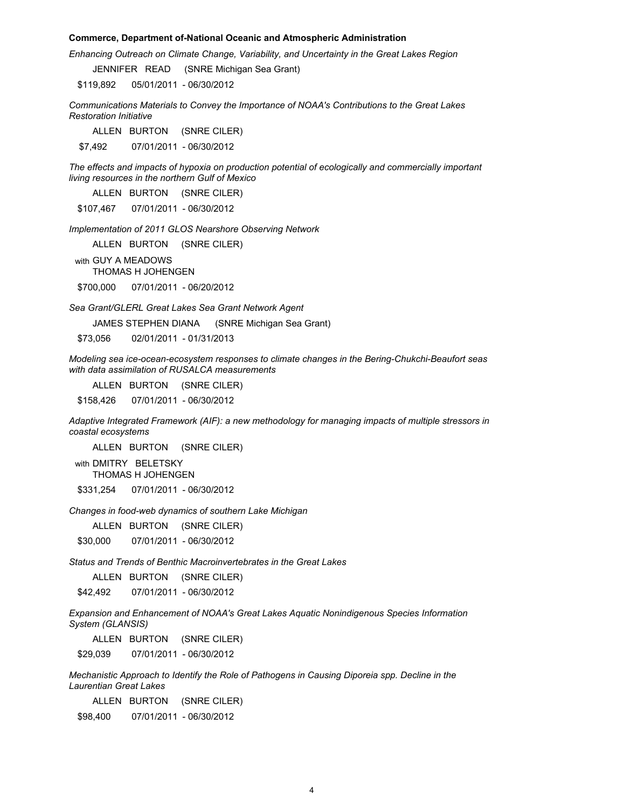#### **Commerce, Department of-National Oceanic and Atmospheric Administration**

*Enhancing Outreach on Climate Change, Variability, and Uncertainty in the Great Lakes Region*

JENNIFER READ (SNRE Michigan Sea Grant)

\$119,892 05/01/2011 - 06/30/2012

*Communications Materials to Convey the Importance of NOAA's Contributions to the Great Lakes Restoration Initiative*

ALLEN BURTON (SNRE CILER)

\$7,492 07/01/2011 - 06/30/2012

*The effects and impacts of hypoxia on production potential of ecologically and commercially important living resources in the northern Gulf of Mexico*

ALLEN BURTON (SNRE CILER)

\$107,467 07/01/2011 - 06/30/2012

*Implementation of 2011 GLOS Nearshore Observing Network*

ALLEN BURTON (SNRE CILER)

with GUY A MEADOWS

THOMAS H JOHENGEN

\$700,000 07/01/2011 - 06/20/2012

*Sea Grant/GLERL Great Lakes Sea Grant Network Agent*

JAMES STEPHEN DIANA (SNRE Michigan Sea Grant)

\$73,056 02/01/2011 - 01/31/2013

*Modeling sea ice-ocean-ecosystem responses to climate changes in the Bering-Chukchi-Beaufort seas with data assimilation of RUSALCA measurements*

ALLEN BURTON (SNRE CILER)

\$158,426 07/01/2011 - 06/30/2012

*Adaptive Integrated Framework (AIF): a new methodology for managing impacts of multiple stressors in coastal ecosystems*

ALLEN BURTON (SNRE CILER)

with DMITRY BELETSKY THOMAS H JOHENGEN

\$331,254 07/01/2011 - 06/30/2012

*Changes in food-web dynamics of southern Lake Michigan*

ALLEN BURTON (SNRE CILER)

\$30,000 07/01/2011 - 06/30/2012

*Status and Trends of Benthic Macroinvertebrates in the Great Lakes*

ALLEN BURTON (SNRE CILER)

\$42,492 07/01/2011 - 06/30/2012

*Expansion and Enhancement of NOAA's Great Lakes Aquatic Nonindigenous Species Information System (GLANSIS)*

ALLEN BURTON (SNRE CILER)

\$29,039 07/01/2011 - 06/30/2012

*Mechanistic Approach to Identify the Role of Pathogens in Causing Diporeia spp. Decline in the Laurentian Great Lakes*

ALLEN BURTON (SNRE CILER)

\$98,400 07/01/2011 - 06/30/2012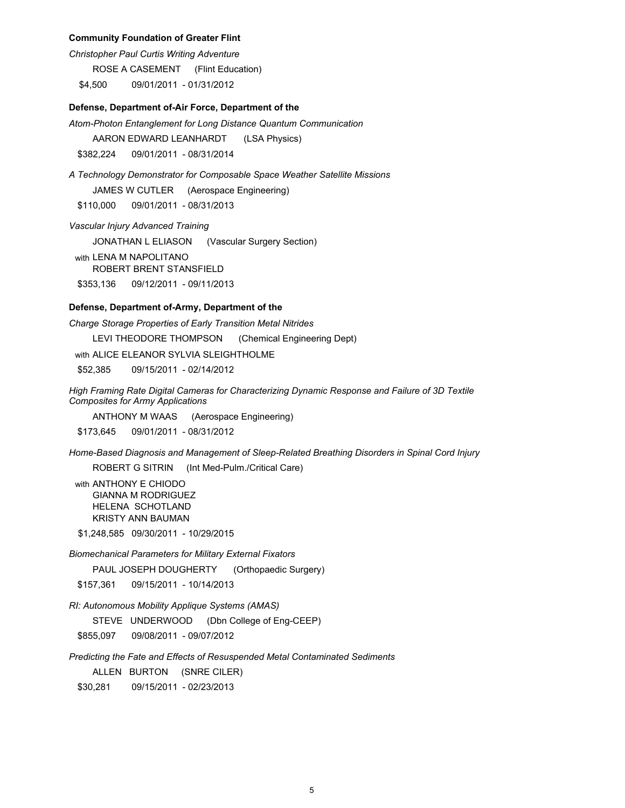#### **Community Foundation of Greater Flint**

*Christopher Paul Curtis Writing Adventure*

ROSE A CASEMENT (Flint Education)

\$4,500 09/01/2011 - 01/31/2012

### **Defense, Department of-Air Force, Department of the**

*Atom-Photon Entanglement for Long Distance Quantum Communication*

AARON EDWARD LEANHARDT (LSA Physics)

\$382,224 09/01/2011 - 08/31/2014

*A Technology Demonstrator for Composable Space Weather Satellite Missions* JAMES W CUTLER (Aerospace Engineering) \$110,000 09/01/2011 - 08/31/2013

*Vascular Injury Advanced Training*

JONATHAN L ELIASON (Vascular Surgery Section)

with LENA M NAPOLITANO

ROBERT BRENT STANSFIELD

\$353,136 09/12/2011 - 09/11/2013

## **Defense, Department of-Army, Department of the**

*Charge Storage Properties of Early Transition Metal Nitrides*

LEVI THEODORE THOMPSON (Chemical Engineering Dept)

with ALICE ELEANOR SYLVIA SLEIGHTHOLME

\$52,385 09/15/2011 - 02/14/2012

*High Framing Rate Digital Cameras for Characterizing Dynamic Response and Failure of 3D Textile Composites for Army Applications*

ANTHONY M WAAS (Aerospace Engineering)

\$173,645 09/01/2011 - 08/31/2012

*Home-Based Diagnosis and Management of Sleep-Related Breathing Disorders in Spinal Cord Injury*

ROBERT G SITRIN (Int Med-Pulm./Critical Care)

with ANTHONY E CHIODO GIANNA M RODRIGUEZ HELENA SCHOTLAND KRISTY ANN BAUMAN

\$1,248,585 09/30/2011 - 10/29/2015

*Biomechanical Parameters for Military External Fixators*

PAUL JOSEPH DOUGHERTY (Orthopaedic Surgery)

\$157,361 09/15/2011 - 10/14/2013

*RI: Autonomous Mobility Applique Systems (AMAS)*

STEVE UNDERWOOD (Dbn College of Eng-CEEP)

\$855,097 09/08/2011 - 09/07/2012

*Predicting the Fate and Effects of Resuspended Metal Contaminated Sediments*

ALLEN BURTON (SNRE CILER)

\$30,281 09/15/2011 - 02/23/2013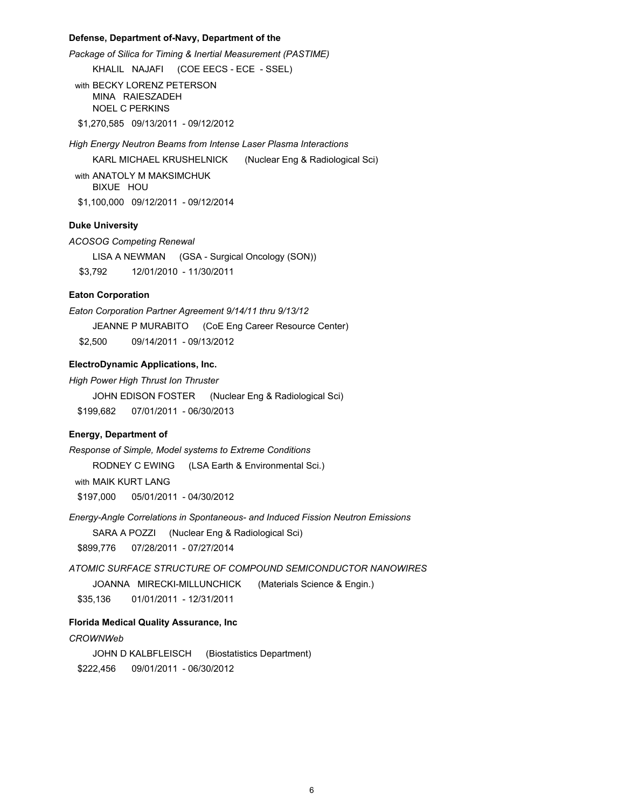### **Defense, Department of-Navy, Department of the**

*Package of Silica for Timing & Inertial Measurement (PASTIME)*

KHALIL NAJAFI (COE EECS - ECE - SSEL)

with BECKY LORENZ PETERSON MINA RAIESZADEH NOEL C PERKINS

\$1,270,585 09/13/2011 - 09/12/2012

*High Energy Neutron Beams from Intense Laser Plasma Interactions*

KARL MICHAEL KRUSHELNICK (Nuclear Eng & Radiological Sci)

with ANATOLY M MAKSIMCHUK BIXUE HOU \$1,100,000 09/12/2011 - 09/12/2014

### **Duke University**

*ACOSOG Competing Renewal*

LISA A NEWMAN (GSA - Surgical Oncology (SON)) \$3,792 12/01/2010 - 11/30/2011

### **Eaton Corporation**

*Eaton Corporation Partner Agreement 9/14/11 thru 9/13/12*

JEANNE P MURABITO (CoE Eng Career Resource Center) \$2,500 09/14/2011 - 09/13/2012

**ElectroDynamic Applications, Inc.**

*High Power High Thrust Ion Thruster*

JOHN EDISON FOSTER (Nuclear Eng & Radiological Sci) \$199,682 07/01/2011 - 06/30/2013

### **Energy, Department of**

*Response of Simple, Model systems to Extreme Conditions*

RODNEY C EWING (LSA Earth & Environmental Sci.)

with MAIK KURT LANG

\$197,000 05/01/2011 - 04/30/2012

*Energy-Angle Correlations in Spontaneous- and Induced Fission Neutron Emissions* SARA A POZZI (Nuclear Eng & Radiological Sci)

\$899,776 07/28/2011 - 07/27/2014

*ATOMIC SURFACE STRUCTURE OF COMPOUND SEMICONDUCTOR NANOWIRES*

JOANNA MIRECKI-MILLUNCHICK (Materials Science & Engin.)

\$35,136 01/01/2011 - 12/31/2011

## **Florida Medical Quality Assurance, Inc**

## *CROWNWeb*

JOHN D KALBFLEISCH (Biostatistics Department) \$222,456 09/01/2011 - 06/30/2012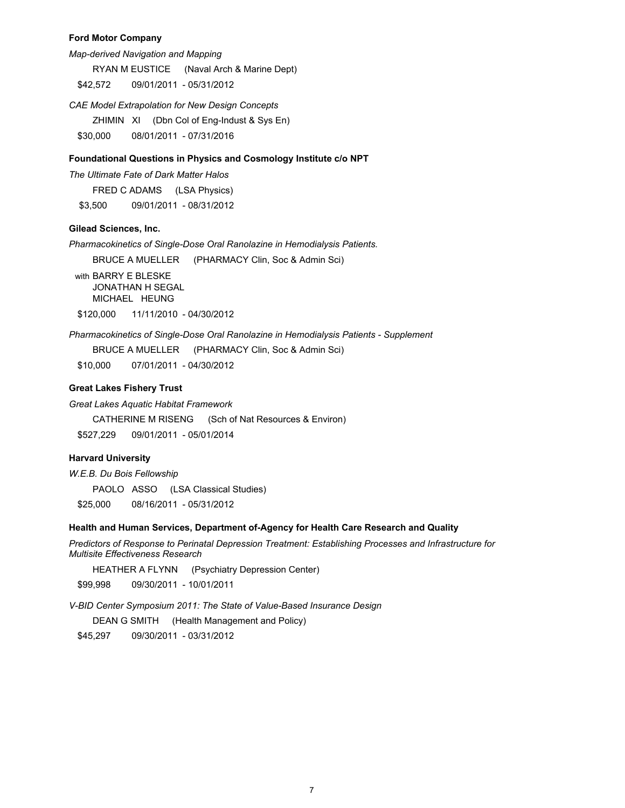## **Ford Motor Company**

*Map-derived Navigation and Mapping* 

RYAN M EUSTICE (Naval Arch & Marine Dept)

\$42,572 09/01/2011 - 05/31/2012

*CAE Model Extrapolation for New Design Concepts*

ZHIMIN XI (Dbn Col of Eng-Indust & Sys En)

\$30,000 08/01/2011 - 07/31/2016

### **Foundational Questions in Physics and Cosmology Institute c/o NPT**

*The Ultimate Fate of Dark Matter Halos*

FRED C ADAMS (LSA Physics) \$3,500 09/01/2011 - 08/31/2012

**Gilead Sciences, Inc.**

*Pharmacokinetics of Single-Dose Oral Ranolazine in Hemodialysis Patients.*

BRUCE A MUELLER (PHARMACY Clin, Soc & Admin Sci)

with BARRY E BLESKE JONATHAN H SEGAL MICHAEL HEUNG \$120,000 11/11/2010 - 04/30/2012

*Pharmacokinetics of Single-Dose Oral Ranolazine in Hemodialysis Patients - Supplement*

BRUCE A MUELLER (PHARMACY Clin, Soc & Admin Sci)

\$10,000 07/01/2011 - 04/30/2012

## **Great Lakes Fishery Trust**

*Great Lakes Aquatic Habitat Framework*

CATHERINE M RISENG (Sch of Nat Resources & Environ)

\$527,229 09/01/2011 - 05/01/2014

## **Harvard University**

### *W.E.B. Du Bois Fellowship*

PAOLO ASSO (LSA Classical Studies)

\$25,000 08/16/2011 - 05/31/2012

#### **Health and Human Services, Department of-Agency for Health Care Research and Quality**

*Predictors of Response to Perinatal Depression Treatment: Establishing Processes and Infrastructure for Multisite Effectiveness Research*

HEATHER A FLYNN (Psychiatry Depression Center)

\$99,998 09/30/2011 - 10/01/2011

*V-BID Center Symposium 2011: The State of Value-Based Insurance Design*

DEAN G SMITH (Health Management and Policy)

\$45,297 09/30/2011 - 03/31/2012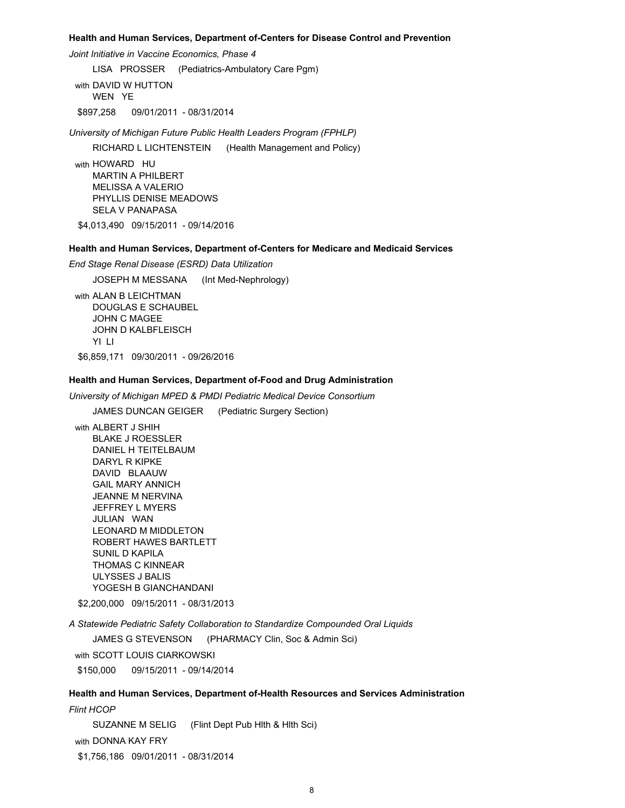#### **Health and Human Services, Department of-Centers for Disease Control and Prevention**

*Joint Initiative in Vaccine Economics, Phase 4*

LISA PROSSER (Pediatrics-Ambulatory Care Pgm)

with DAVID W HUTTON WEN YE \$897,258 09/01/2011 - 08/31/2014

*University of Michigan Future Public Health Leaders Program (FPHLP)*

RICHARD L LICHTENSTEIN (Health Management and Policy)

with HOWARD HU MARTIN A PHILBERT MELISSA A VALERIO PHYLLIS DENISE MEADOWS SELA V PANAPASA

\$4,013,490 09/15/2011 - 09/14/2016

### **Health and Human Services, Department of-Centers for Medicare and Medicaid Services**

*End Stage Renal Disease (ESRD) Data Utilization*

JOSEPH M MESSANA (Int Med-Nephrology)

with ALAN B LEICHTMAN DOUGLAS E SCHAUBEL JOHN C MAGEE JOHN D KALBFLEISCH YI LI \$6,859,171 09/30/2011 - 09/26/2016

## **Health and Human Services, Department of-Food and Drug Administration**

*University of Michigan MPED & PMDI Pediatric Medical Device Consortium*

JAMES DUNCAN GEIGER (Pediatric Surgery Section)

with ALBERT J SHIH BLAKE J ROESSLER DANIEL H TEITELBAUM DARYL R KIPKE DAVID BLAAUW GAIL MARY ANNICH JEANNE M NERVINA JEFFREY L MYERS JULIAN WAN LEONARD M MIDDLETON ROBERT HAWES BARTLETT SUNIL D KAPILA THOMAS C KINNEAR ULYSSES J BALIS YOGESH B GIANCHANDANI

\$2,200,000 09/15/2011 - 08/31/2013

*A Statewide Pediatric Safety Collaboration to Standardize Compounded Oral Liquids*

JAMES G STEVENSON (PHARMACY Clin, Soc & Admin Sci)

with SCOTT LOUIS CIARKOWSKI

\$150,000 09/15/2011 - 09/14/2014

## **Health and Human Services, Department of-Health Resources and Services Administration**

*Flint HCOP* SUZANNE M SELIG (Flint Dept Pub Hlth & Hlth Sci) with DONNA KAY FRY \$1,756,186 09/01/2011 - 08/31/2014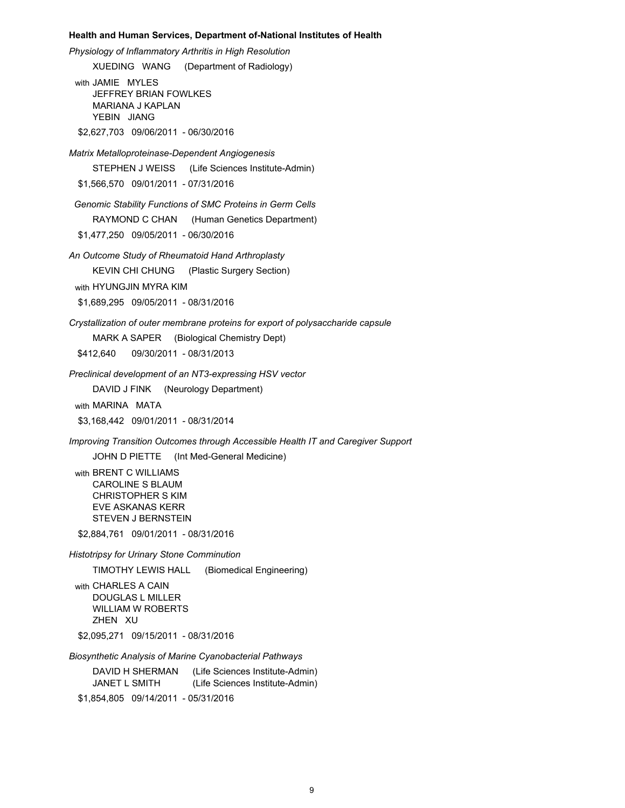#### **Health and Human Services, Department of-National Institutes of Health**

*Physiology of Inflammatory Arthritis in High Resolution*

XUEDING WANG (Department of Radiology)

with JAMIE MYLES JEFFREY BRIAN FOWLKES MARIANA J KAPLAN YEBIN JIANG \$2,627,703 09/06/2011 - 06/30/2016

*Matrix Metalloproteinase-Dependent Angiogenesis*

STEPHEN J WEISS (Life Sciences Institute-Admin)

\$1,566,570 09/01/2011 - 07/31/2016

 *Genomic Stability Functions of SMC Proteins in Germ Cells* 

RAYMOND C CHAN (Human Genetics Department)

\$1,477,250 09/05/2011 - 06/30/2016

*An Outcome Study of Rheumatoid Hand Arthroplasty*

KEVIN CHI CHUNG (Plastic Surgery Section)

with HYUNGJIN MYRA KIM

\$1,689,295 09/05/2011 - 08/31/2016

*Crystallization of outer membrane proteins for export of polysaccharide capsule*

MARK A SAPER (Biological Chemistry Dept)

\$412,640 09/30/2011 - 08/31/2013

*Preclinical development of an NT3-expressing HSV vector*

DAVID J FINK (Neurology Department)

with MARINA MATA

\$3,168,442 09/01/2011 - 08/31/2014

*Improving Transition Outcomes through Accessible Health IT and Caregiver Support*

JOHN D PIETTE (Int Med-General Medicine)

with BRENT C WILLIAMS CAROLINE S BLAUM CHRISTOPHER S KIM EVE ASKANAS KERR STEVEN J BERNSTEIN

\$2,884,761 09/01/2011 - 08/31/2016

*Histotripsy for Urinary Stone Comminution*

TIMOTHY LEWIS HALL (Biomedical Engineering)

with CHARLES A CAIN DOUGLAS L MILLER WILLIAM W ROBERTS ZHEN XU

\$2,095,271 09/15/2011 - 08/31/2016

*Biosynthetic Analysis of Marine Cyanobacterial Pathways*

DAVID H SHERMAN (Life Sciences Institute-Admin) JANET L SMITH (Life Sciences Institute-Admin) \$1,854,805 09/14/2011 - 05/31/2016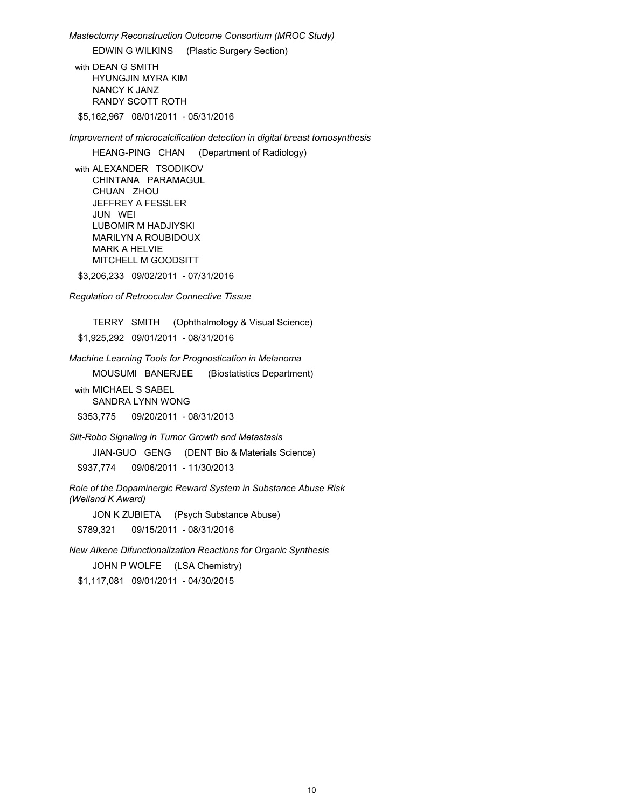*Mastectomy Reconstruction Outcome Consortium (MROC Study)* 

EDWIN G WILKINS (Plastic Surgery Section)

with DEAN G SMITH HYUNGJIN MYRA KIM NANCY K JANZ RANDY SCOTT ROTH

\$5,162,967 08/01/2011 - 05/31/2016

*Improvement of microcalcification detection in digital breast tomosynthesis*

HEANG-PING CHAN (Department of Radiology)

with ALEXANDER TSODIKOV CHINTANA PARAMAGUL CHUAN ZHOU JEFFREY A FESSLER JUN WEI LUBOMIR M HADJIYSKI MARILYN A ROUBIDOUX MARK A HELVIE MITCHELL M GOODSITT

\$3,206,233 09/02/2011 - 07/31/2016

*Regulation of Retroocular Connective Tissue* 

TERRY SMITH (Ophthalmology & Visual Science)

\$1,925,292 09/01/2011 - 08/31/2016

*Machine Learning Tools for Prognostication in Melanoma*

MOUSUMI BANERJEE (Biostatistics Department)

with MICHAEL S SABEL SANDRA LYNN WONG

\$353,775 09/20/2011 - 08/31/2013

*Slit-Robo Signaling in Tumor Growth and Metastasis*

JIAN-GUO GENG (DENT Bio & Materials Science)

\$937,774 09/06/2011 - 11/30/2013

*Role of the Dopaminergic Reward System in Substance Abuse Risk (Weiland K Award)*

JON K ZUBIETA (Psych Substance Abuse)

\$789,321 09/15/2011 - 08/31/2016

*New Alkene Difunctionalization Reactions for Organic Synthesis*

JOHN P WOLFE (LSA Chemistry)

\$1,117,081 09/01/2011 - 04/30/2015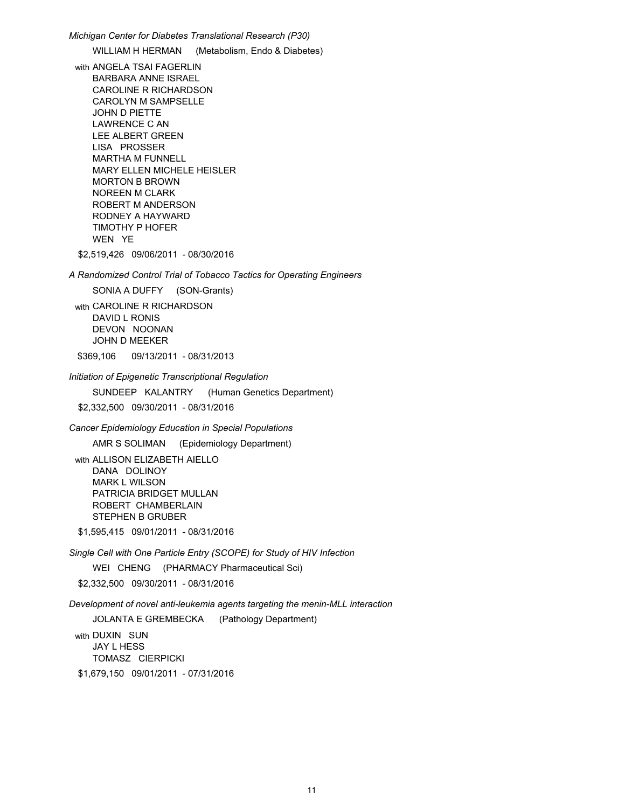*Michigan Center for Diabetes Translational Research (P30)* WILLIAM H HERMAN (Metabolism, Endo & Diabetes) with ANGELA TSAI FAGERLIN BARBARA ANNE ISRAEL CAROLINE R RICHARDSON CAROLYN M SAMPSELLE JOHN D PIETTE LAWRENCE C AN LEE ALBERT GREEN LISA PROSSER MARTHA M FUNNELL MARY ELLEN MICHELE HEISLER MORTON B BROWN NOREEN M CLARK ROBERT M ANDERSON RODNEY A HAYWARD TIMOTHY P HOFER WEN YESTER THE STATE OF THE STATE OF THE STATE OF THE STATE OF THE STATE OF THE STATE OF THE STATE OF THE STATE OF THE STATE OF THE STATE OF THE STATE OF THE STATE OF THE STATE OF THE STATE OF THE STATE OF THE STATE OF THE \$2,519,426 09/06/2011 - 08/30/2016 *A Randomized Control Trial of Tobacco Tactics for Operating Engineers*  SONIA A DUFFY (SON-Grants) with CAROLINE R RICHARDSON DAVID L RONIS DEVON NOONAN JOHN D MEEKER \$369,106 09/13/2011 - 08/31/2013 *Initiation of Epigenetic Transcriptional Regulation* SUNDEEP KALANTRY (Human Genetics Department) \$2,332,500 09/30/2011 - 08/31/2016 *Cancer Epidemiology Education in Special Populations* AMR S SOLIMAN (Epidemiology Department) with ALLISON ELIZABETH AIELLO DANA DOLINOY MARK L WILSON PATRICIA BRIDGET MULLAN ROBERT CHAMBERLAIN STEPHEN B GRUBER \$1,595,415 09/01/2011 - 08/31/2016

*Single Cell with One Particle Entry (SCOPE) for Study of HIV Infection* 

WEI CHENG (PHARMACY Pharmaceutical Sci)

\$2,332,500 09/30/2011 - 08/31/2016

*Development of novel anti-leukemia agents targeting the menin-MLL interaction*

JOLANTA E GREMBECKA (Pathology Department)

with DUXIN SUN JAY L HESS TOMASZ CIERPICKI \$1,679,150 09/01/2011 - 07/31/2016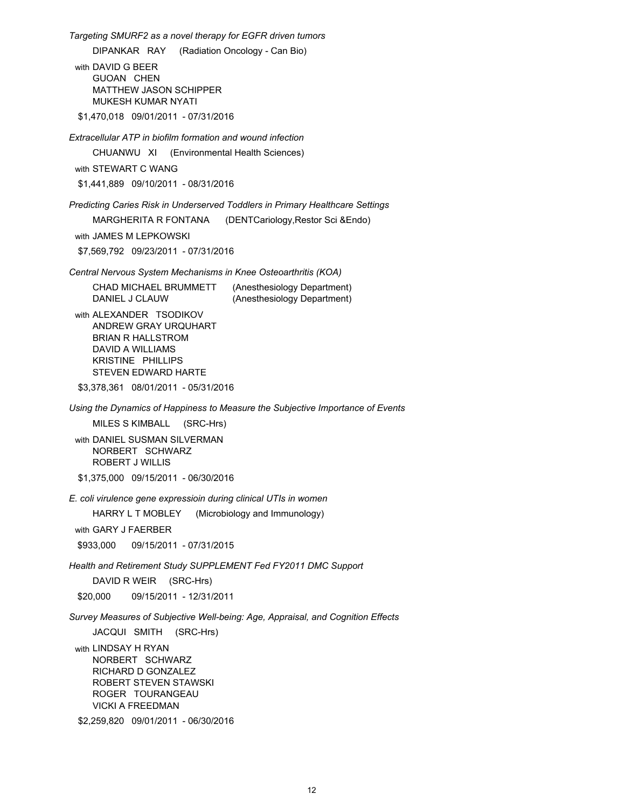*Targeting SMURF2 as a novel therapy for EGFR driven tumors*

DIPANKAR RAY (Radiation Oncology - Can Bio)

with DAVID G BEER GUOAN CHEN MATTHEW JASON SCHIPPER MUKESH KUMAR NYATI

\$1,470,018 09/01/2011 - 07/31/2016

*Extracellular ATP in biofilm formation and wound infection*

CHUANWU XI (Environmental Health Sciences)

with STEWART C WANG

\$1,441,889 09/10/2011 - 08/31/2016

*Predicting Caries Risk in Underserved Toddlers in Primary Healthcare Settings*

MARGHERITA R FONTANA (DENTCariology,Restor Sci &Endo)

with JAMES M LEPKOWSKI

\$7,569,792 09/23/2011 - 07/31/2016

*Central Nervous System Mechanisms in Knee Osteoarthritis (KOA)*

| CHAD MICHAEL BRUMMETT | (Anesthesiology Department) |
|-----------------------|-----------------------------|
| DANIEL J CLAUW        | (Anesthesiology Department) |

with ALEXANDER TSODIKOV ANDREW GRAY URQUHART BRIAN R HALLSTROM DAVID A WILLIAMS KRISTINE PHILLIPS STEVEN EDWARD HARTE

\$3,378,361 08/01/2011 - 05/31/2016

*Using the Dynamics of Happiness to Measure the Subjective Importance of Events*

MILES S KIMBALL (SRC-Hrs)

with DANIEL SUSMAN SILVERMAN NORBERT SCHWARZ ROBERT J WILLIS \$1,375,000 09/15/2011 - 06/30/2016

*E. coli virulence gene expressioin during clinical UTIs in women*

HARRY L T MOBLEY (Microbiology and Immunology)

with GARY J FAERBER

\$933,000 09/15/2011 - 07/31/2015

*Health and Retirement Study SUPPLEMENT Fed FY2011 DMC Support*

DAVID R WEIR (SRC-Hrs)

\$20,000 09/15/2011 - 12/31/2011

*Survey Measures of Subjective Well-being: Age, Appraisal, and Cognition Effects*

JACQUI SMITH (SRC-Hrs)

with LINDSAY H RYAN NORBERT SCHWARZ RICHARD D GONZALEZ ROBERT STEVEN STAWSKI ROGER TOURANGEAU VICKI A FREEDMAN

\$2,259,820 09/01/2011 - 06/30/2016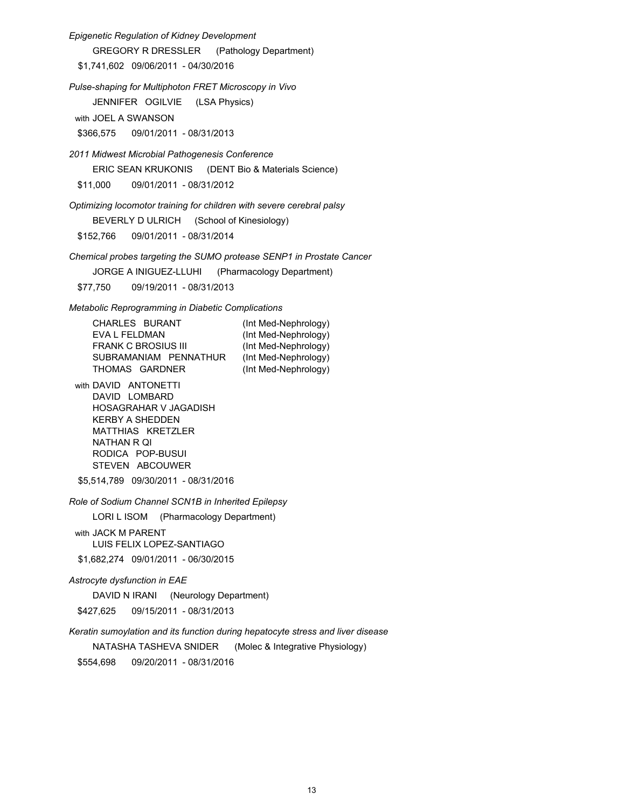*Epigenetic Regulation of Kidney Development* GREGORY R DRESSLER (Pathology Department) \$1,741,602 09/06/2011 - 04/30/2016 *Pulse-shaping for Multiphoton FRET Microscopy in Vivo* JENNIFER OGILVIE (LSA Physics) with JOEL A SWANSON \$366,575 09/01/2011 - 08/31/2013 *2011 Midwest Microbial Pathogenesis Conference* ERIC SEAN KRUKONIS (DENT Bio & Materials Science) \$11,000 09/01/2011 - 08/31/2012 *Optimizing locomotor training for children with severe cerebral palsy* BEVERLY D ULRICH (School of Kinesiology) \$152,766 09/01/2011 - 08/31/2014 *Chemical probes targeting the SUMO protease SENP1 in Prostate Cancer* JORGE A INIGUEZ-LLUHI (Pharmacology Department) \$77,750 09/19/2011 - 08/31/2013 *Metabolic Reprogramming in Diabetic Complications*  CHARLES BURANT (Int Med-Nephrology) EVA L FELDMAN (Int Med-Nephrology) FRANK C BROSIUS III (Int Med-Nephrology) SUBRAMANIAM PENNATHUR (Int Med-Nephrology) THOMAS GARDNER (Int Med-Nephrology) with DAVID ANTONETTI DAVID LOMBARD HOSAGRAHAR V JAGADISH KERBY A SHEDDEN MATTHIAS KRETZLER NATHAN R QI RODICA POP-BUSUI STEVEN ABCOUWER \$5,514,789 09/30/2011 - 08/31/2016 *Role of Sodium Channel SCN1B in Inherited Epilepsy* LORI L ISOM (Pharmacology Department) with JACK M PARENT LUIS FELIX LOPEZ-SANTIAGO

\$1,682,274 09/01/2011 - 06/30/2015

#### *Astrocyte dysfunction in EAE*

DAVID N IRANI (Neurology Department) \$427,625 09/15/2011 - 08/31/2013

*Keratin sumoylation and its function during hepatocyte stress and liver disease*

NATASHA TASHEVA SNIDER (Molec & Integrative Physiology)

\$554,698 09/20/2011 - 08/31/2016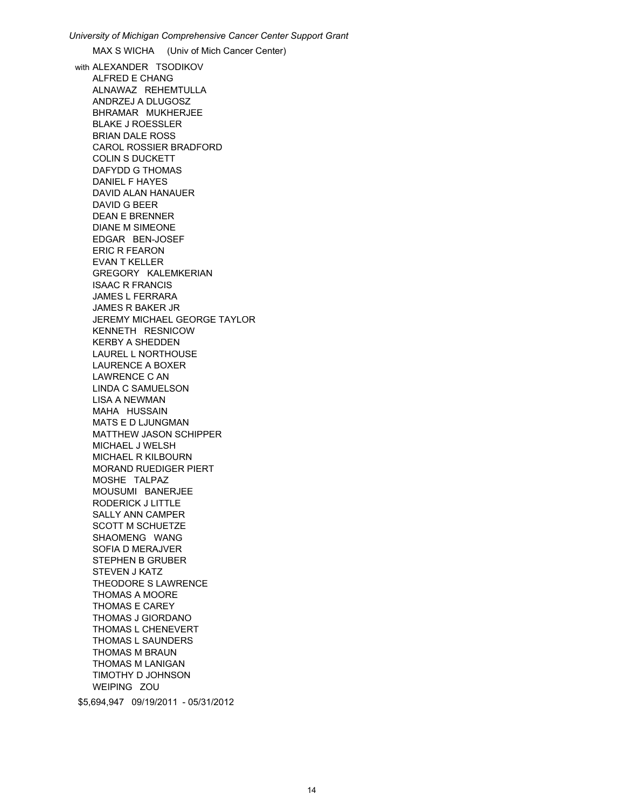*University of Michigan Comprehensive Cancer Center Support Grant* MAX S WICHA (Univ of Mich Cancer Center) with ALEXANDER TSODIKOV ALFRED E CHANG ALNAWAZ REHEMTULLA ANDRZEJ A DLUGOSZ BHRAMAR MUKHERJEE BLAKE J ROESSLER BRIAN DALE ROSS CAROL ROSSIER BRADFORD COLIN S DUCKETT DAFYDD G THOMAS DANIEL F HAYES DAVID ALAN HANAUER DAVID G BEER DEAN E BRENNER DIANE M SIMEONE EDGAR BEN-JOSEF ERIC R FEARON EVAN T KELLER GREGORY KALEMKERIAN ISAAC R FRANCIS JAMES L FERRARA JAMES R BAKER JR JEREMY MICHAEL GEORGE TAYLOR KENNETH RESNICOW KERBY A SHEDDEN LAUREL L NORTHOUSE LAURENCE A BOXER LAWRENCE C AN LINDA C SAMUELSON LISA A NEWMAN MAHA HUSSAIN MATS E D LJUNGMAN MATTHEW JASON SCHIPPER MICHAEL J WELSH MICHAEL R KILBOURN MORAND RUEDIGER PIERT MOSHE TALPAZ MOUSUMI BANERJEE RODERICK J LITTLE SALLY ANN CAMPER SCOTT M SCHUETZE SHAOMENG WANG SOFIA D MERAJVER STEPHEN B GRUBER STEVEN J KATZ THEODORE S LAWRENCE THOMAS A MOORE THOMAS E CAREY THOMAS J GIORDANO THOMAS L CHENEVERT THOMAS L SAUNDERS THOMAS M BRAUN THOMAS M LANIGAN TIMOTHY D JOHNSON WEIPING ZOU \$5,694,947 09/19/2011 - 05/31/2012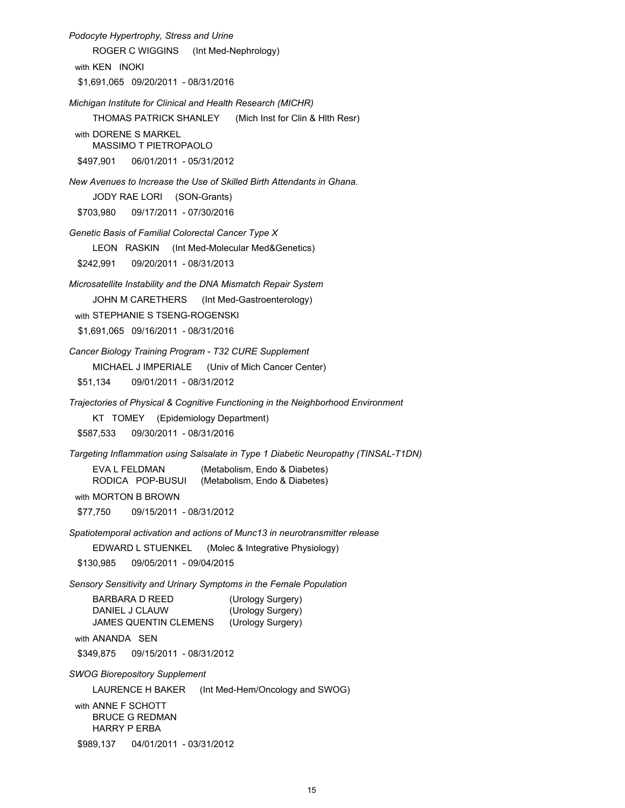*Podocyte Hypertrophy, Stress and Urine* ROGER C WIGGINS (Int Med-Nephrology) with KEN INOKI \$1,691,065 09/20/2011 - 08/31/2016 *Michigan Institute for Clinical and Health Research (MICHR)* THOMAS PATRICK SHANLEY (Mich Inst for Clin & Hlth Resr) with DORENE S MARKEL MASSIMO T PIETROPAOLO \$497,901 06/01/2011 - 05/31/2012 *New Avenues to Increase the Use of Skilled Birth Attendants in Ghana.*  JODY RAE LORI (SON-Grants) \$703,980 09/17/2011 - 07/30/2016 *Genetic Basis of Familial Colorectal Cancer Type X* LEON RASKIN (Int Med-Molecular Med&Genetics) \$242,991 09/20/2011 - 08/31/2013 *Microsatellite Instability and the DNA Mismatch Repair System* JOHN M CARETHERS (Int Med-Gastroenterology) with STEPHANIE S TSENG-ROGENSKI \$1,691,065 09/16/2011 - 08/31/2016 *Cancer Biology Training Program - T32 CURE Supplement* MICHAEL J IMPERIALE (Univ of Mich Cancer Center) \$51,134 09/01/2011 - 08/31/2012 *Trajectories of Physical & Cognitive Functioning in the Neighborhood Environment* KT TOMEY (Epidemiology Department) \$587,533 09/30/2011 - 08/31/2016 *Targeting Inflammation using Salsalate in Type 1 Diabetic Neuropathy (TINSAL-T1DN)*  EVA L FELDMAN (Metabolism, Endo & Diabetes) RODICA POP-BUSUI (Metabolism, Endo & Diabetes) with MORTON B BROWN \$77,750 09/15/2011 - 08/31/2012 *Spatiotemporal activation and actions of Munc13 in neurotransmitter release* EDWARD L STUENKEL (Molec & Integrative Physiology) \$130,985 09/05/2011 - 09/04/2015 *Sensory Sensitivity and Urinary Symptoms in the Female Population* BARBARA D REED (Urology Surgery) DANIEL J CLAUW (Urology Surgery) JAMES QUENTIN CLEMENS (Urology Surgery) with ANANDA SEN \$349,875 09/15/2011 - 08/31/2012 *SWOG Biorepository Supplement* LAURENCE H BAKER (Int Med-Hem/Oncology and SWOG) with ANNE F SCHOTT BRUCE G REDMAN HARRY P ERBA \$989,137 04/01/2011 - 03/31/2012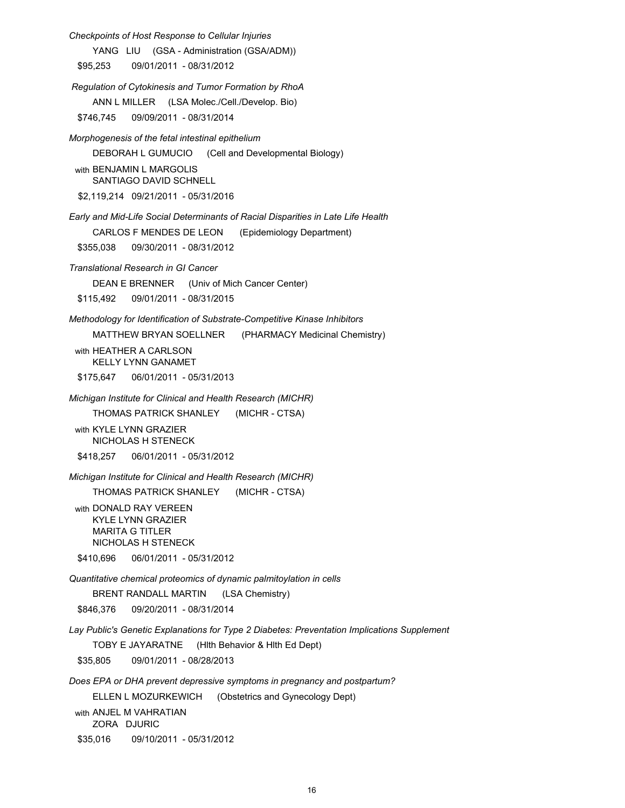*Checkpoints of Host Response to Cellular Injuries* YANG LIU (GSA - Administration (GSA/ADM)) \$95,253 09/01/2011 - 08/31/2012  *Regulation of Cytokinesis and Tumor Formation by RhoA* ANN L MILLER (LSA Molec./Cell./Develop. Bio) \$746,745 09/09/2011 - 08/31/2014 *Morphogenesis of the fetal intestinal epithelium* DEBORAH L GUMUCIO (Cell and Developmental Biology) with BENJAMIN L MARGOLIS SANTIAGO DAVID SCHNELL \$2,119,214 09/21/2011 - 05/31/2016 *Early and Mid-Life Social Determinants of Racial Disparities in Late Life Health* CARLOS F MENDES DE LEON (Epidemiology Department) \$355,038 09/30/2011 - 08/31/2012 *Translational Research in GI Cancer* DEAN E BRENNER (Univ of Mich Cancer Center) \$115,492 09/01/2011 - 08/31/2015 *Methodology for Identification of Substrate-Competitive Kinase Inhibitors* MATTHEW BRYAN SOELLNER (PHARMACY Medicinal Chemistry) with HFATHFR A CARLSON KELLY LYNN GANAMET \$175,647 06/01/2011 - 05/31/2013 *Michigan Institute for Clinical and Health Research (MICHR)* THOMAS PATRICK SHANLEY (MICHR - CTSA) with KYLE LYNN GRAZIER NICHOLAS H STENECK \$418,257 06/01/2011 - 05/31/2012 *Michigan Institute for Clinical and Health Research (MICHR)* THOMAS PATRICK SHANLEY (MICHR - CTSA) with DONALD RAY VEREEN KYLE LYNN GRAZIER MARITA G TITLER NICHOLAS H STENECK \$410,696 06/01/2011 - 05/31/2012 *Quantitative chemical proteomics of dynamic palmitoylation in cells* BRENT RANDALL MARTIN (LSA Chemistry) \$846,376 09/20/2011 - 08/31/2014 *Lay Public's Genetic Explanations for Type 2 Diabetes: Preventation Implications Supplement* TOBY E JAYARATNE (Hlth Behavior & Hlth Ed Dept) \$35,805 09/01/2011 - 08/28/2013 *Does EPA or DHA prevent depressive symptoms in pregnancy and postpartum?*  ELLEN L MOZURKEWICH (Obstetrics and Gynecology Dept) with ANJEL M VAHRATIAN

ZORA DJURIC

\$35,016 09/10/2011 - 05/31/2012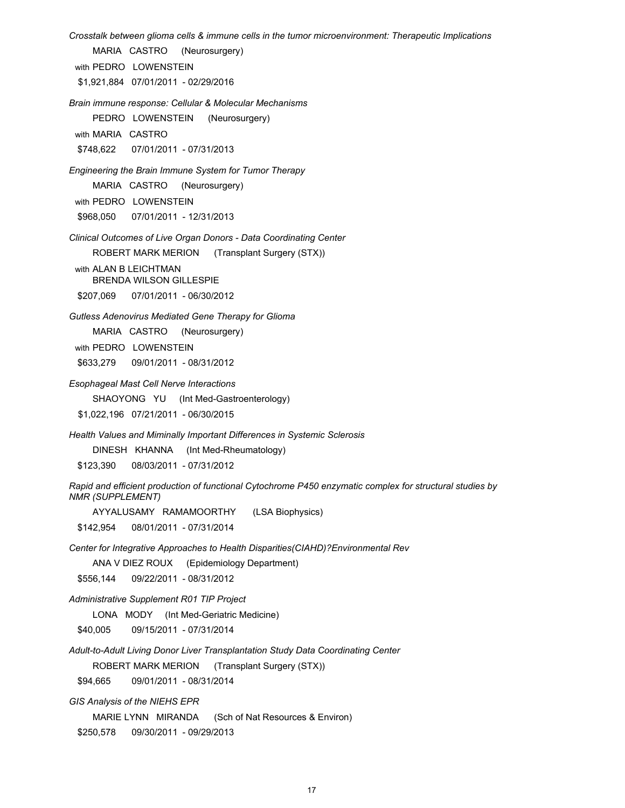*Crosstalk between glioma cells & immune cells in the tumor microenvironment: Therapeutic Implications*

MARIA CASTRO (Neurosurgery)

with PEDRO LOWENSTEIN

\$1,921,884 07/01/2011 - 02/29/2016

*Brain immune response: Cellular & Molecular Mechanisms*

PEDRO LOWENSTEIN (Neurosurgery)

with MARIA CASTRO

\$748,622 07/01/2011 - 07/31/2013

*Engineering the Brain Immune System for Tumor Therapy*

MARIA CASTRO (Neurosurgery)

with PEDRO LOWENSTEIN

\$968,050 07/01/2011 - 12/31/2013

*Clinical Outcomes of Live Organ Donors - Data Coordinating Center*

ROBERT MARK MERION (Transplant Surgery (STX))

with ALAN B LEICHTMAN BRENDA WILSON GILLESPIE

\$207,069 07/01/2011 - 06/30/2012

*Gutless Adenovirus Mediated Gene Therapy for Glioma*

MARIA CASTRO (Neurosurgery)

with PEDRO LOWENSTEIN

\$633,279 09/01/2011 - 08/31/2012

*Esophageal Mast Cell Nerve Interactions*

SHAOYONG YU (Int Med-Gastroenterology)

\$1,022,196 07/21/2011 - 06/30/2015

*Health Values and Miminally Important Differences in Systemic Sclerosis*

DINESH KHANNA (Int Med-Rheumatology)

\$123,390 08/03/2011 - 07/31/2012

*Rapid and efficient production of functional Cytochrome P450 enzymatic complex for structural studies by NMR (SUPPLEMENT)*

AYYALUSAMY RAMAMOORTHY (LSA Biophysics)

\$142,954 08/01/2011 - 07/31/2014

*Center for Integrative Approaches to Health Disparities(CIAHD)?Environmental Rev*

ANA V DIEZ ROUX (Epidemiology Department)

\$556,144 09/22/2011 - 08/31/2012

*Administrative Supplement R01 TIP Project*

LONA MODY (Int Med-Geriatric Medicine)

\$40,005 09/15/2011 - 07/31/2014

*Adult-to-Adult Living Donor Liver Transplantation Study Data Coordinating Center*

ROBERT MARK MERION (Transplant Surgery (STX))

\$94,665 09/01/2011 - 08/31/2014

*GIS Analysis of the NIEHS EPR*

MARIE LYNN MIRANDA (Sch of Nat Resources & Environ)

\$250,578 09/30/2011 - 09/29/2013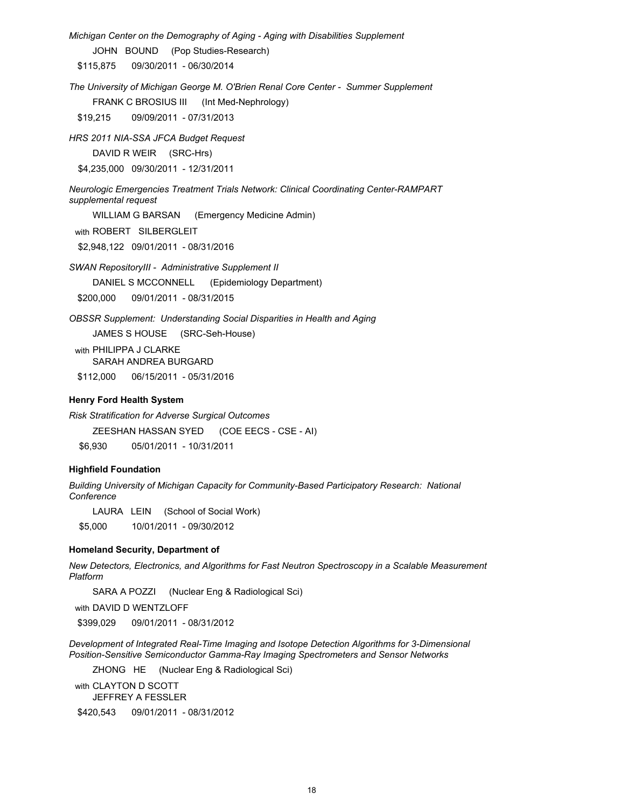*Michigan Center on the Demography of Aging - Aging with Disabilities Supplement*

JOHN BOUND (Pop Studies-Research)

\$115,875 09/30/2011 - 06/30/2014

*The University of Michigan George M. O'Brien Renal Core Center - Summer Supplement*

FRANK C BROSIUS III (Int Med-Nephrology)

\$19,215 09/09/2011 - 07/31/2013

*HRS 2011 NIA-SSA JFCA Budget Request*

DAVID R WEIR (SRC-Hrs)

\$4,235,000 09/30/2011 - 12/31/2011

*Neurologic Emergencies Treatment Trials Network: Clinical Coordinating Center-RAMPART supplemental request*

WILLIAM G BARSAN (Emergency Medicine Admin) with ROBERT SILBERGLEIT \$2,948,122 09/01/2011 - 08/31/2016

*SWAN RepositoryIII - Administrative Supplement II*

DANIEL S MCCONNELL (Epidemiology Department)

\$200,000 09/01/2011 - 08/31/2015

*OBSSR Supplement: Understanding Social Disparities in Health and Aging*

JAMES S HOUSE (SRC-Seh-House)

with PHILIPPA J CLARKE SARAH ANDREA BURGARD

\$112,000 06/15/2011 - 05/31/2016

### **Henry Ford Health System**

*Risk Stratification for Adverse Surgical Outcomes*

ZEESHAN HASSAN SYED (COE EECS - CSE - AI)

\$6,930 05/01/2011 - 10/31/2011

#### **Highfield Foundation**

*Building University of Michigan Capacity for Community-Based Participatory Research: National Conference*

LAURA LEIN (School of Social Work)

\$5,000 10/01/2011 - 09/30/2012

## **Homeland Security, Department of**

*New Detectors, Electronics, and Algorithms for Fast Neutron Spectroscopy in a Scalable Measurement Platform*

SARA A POZZI (Nuclear Eng & Radiological Sci)

with DAVID D WENTZLOFF

\$399,029 09/01/2011 - 08/31/2012

*Development of Integrated Real-Time Imaging and Isotope Detection Algorithms for 3-Dimensional Position-Sensitive Semiconductor Gamma-Ray Imaging Spectrometers and Sensor Networks*

ZHONG HE (Nuclear Eng & Radiological Sci)

with CLAYTON D SCOTT JEFFREY A FESSLER

\$420,543 09/01/2011 - 08/31/2012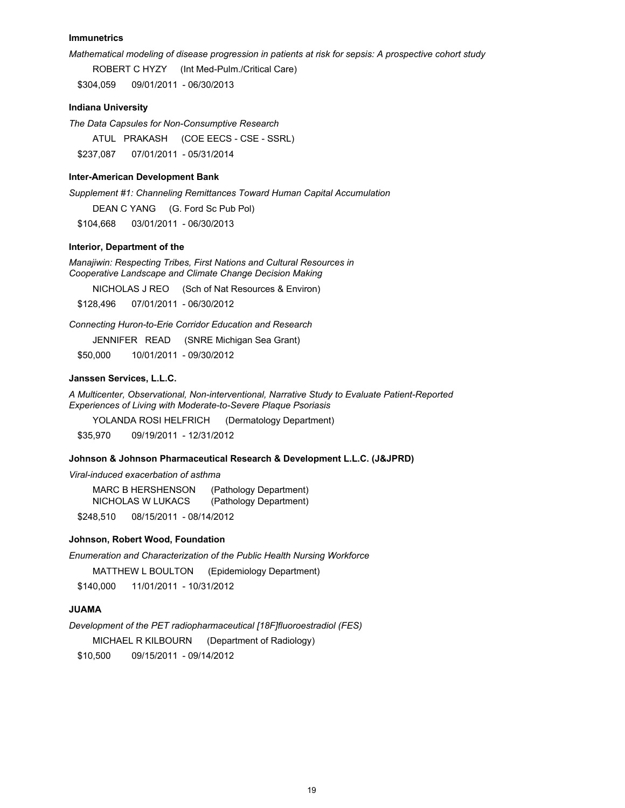#### **Immunetrics**

*Mathematical modeling of disease progression in patients at risk for sepsis: A prospective cohort study*

ROBERT C HYZY (Int Med-Pulm./Critical Care)

\$304,059 09/01/2011 - 06/30/2013

## **Indiana University**

*The Data Capsules for Non-Consumptive Research*

ATUL PRAKASH (COE EECS - CSE - SSRL)

\$237,087 07/01/2011 - 05/31/2014

#### **Inter-American Development Bank**

*Supplement #1: Channeling Remittances Toward Human Capital Accumulation*

DEAN C YANG (G. Ford Sc Pub Pol)

\$104,668 03/01/2011 - 06/30/2013

## **Interior, Department of the**

*Manajiwin: Respecting Tribes, First Nations and Cultural Resources in Cooperative Landscape and Climate Change Decision Making* 

NICHOLAS J REO (Sch of Nat Resources & Environ)

\$128,496 07/01/2011 - 06/30/2012

*Connecting Huron-to-Erie Corridor Education and Research*

JENNIFER READ (SNRE Michigan Sea Grant)

\$50,000 10/01/2011 - 09/30/2012

## **Janssen Services, L.L.C.**

*A Multicenter, Observational, Non-interventional, Narrative Study to Evaluate Patient-Reported Experiences of Living with Moderate-to-Severe Plaque Psoriasis*

YOLANDA ROSI HELFRICH (Dermatology Department)

\$35,970 09/19/2011 - 12/31/2012

### **Johnson & Johnson Pharmaceutical Research & Development L.L.C. (J&JPRD)**

*Viral-induced exacerbation of asthma*

MARC B HERSHENSON (Pathology Department) NICHOLAS W LUKACS (Pathology Department)

\$248,510 08/15/2011 - 08/14/2012

### **Johnson, Robert Wood, Foundation**

*Enumeration and Characterization of the Public Health Nursing Workforce*

MATTHEW L BOULTON (Epidemiology Department)

\$140,000 11/01/2011 - 10/31/2012

#### **JUAMA**

*Development of the PET radiopharmaceutical [18F]fluoroestradiol (FES)*

MICHAEL R KILBOURN (Department of Radiology)

\$10,500 09/15/2011 - 09/14/2012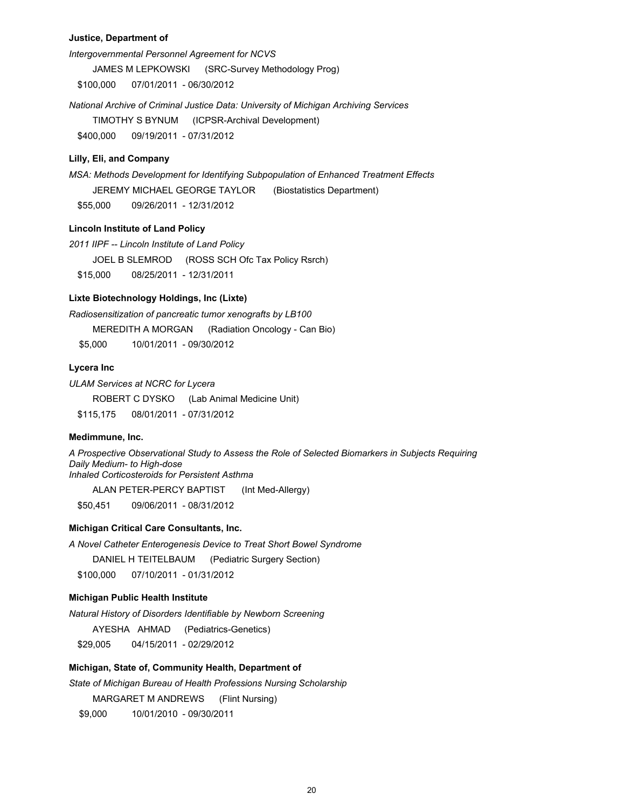## **Justice, Department of**

*Intergovernmental Personnel Agreement for NCVS*

JAMES M LEPKOWSKI (SRC-Survey Methodology Prog)

\$100,000 07/01/2011 - 06/30/2012

*National Archive of Criminal Justice Data: University of Michigan Archiving Services*

TIMOTHY S BYNUM (ICPSR-Archival Development)

\$400,000 09/19/2011 - 07/31/2012

## **Lilly, Eli, and Company**

*MSA: Methods Development for Identifying Subpopulation of Enhanced Treatment Effects* JEREMY MICHAEL GEORGE TAYLOR (Biostatistics Department) \$55,000 09/26/2011 - 12/31/2012

### **Lincoln Institute of Land Policy**

*2011 IIPF -- Lincoln Institute of Land Policy* JOEL B SLEMROD (ROSS SCH Ofc Tax Policy Rsrch) \$15,000 08/25/2011 - 12/31/2011

## **Lixte Biotechnology Holdings, Inc (Lixte)**

*Radiosensitization of pancreatic tumor xenografts by LB100* MEREDITH A MORGAN (Radiation Oncology - Can Bio)

\$5,000 10/01/2011 - 09/30/2012

#### **Lycera Inc**

*ULAM Services at NCRC for Lycera*

ROBERT C DYSKO (Lab Animal Medicine Unit)

\$115,175 08/01/2011 - 07/31/2012

## **Medimmune, Inc.**

*A Prospective Observational Study to Assess the Role of Selected Biomarkers in Subjects Requiring Daily Medium- to High-dose Inhaled Corticosteroids for Persistent Asthma*

ALAN PETER-PERCY BAPTIST (Int Med-Allergy)

\$50,451 09/06/2011 - 08/31/2012

## **Michigan Critical Care Consultants, Inc.**

*A Novel Catheter Enterogenesis Device to Treat Short Bowel Syndrome*

DANIEL H TEITELBAUM (Pediatric Surgery Section)

\$100,000 07/10/2011 - 01/31/2012

## **Michigan Public Health Institute**

*Natural History of Disorders Identifiable by Newborn Screening*

AYESHA AHMAD (Pediatrics-Genetics)

\$29,005 04/15/2011 - 02/29/2012

## **Michigan, State of, Community Health, Department of**

*State of Michigan Bureau of Health Professions Nursing Scholarship*

MARGARET M ANDREWS (Flint Nursing)

\$9,000 10/01/2010 - 09/30/2011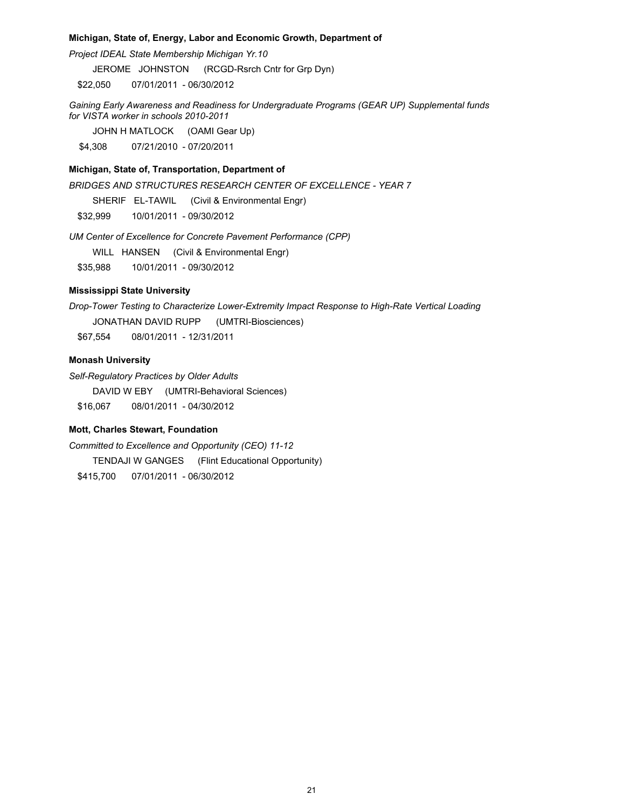### **Michigan, State of, Energy, Labor and Economic Growth, Department of**

*Project IDEAL State Membership Michigan Yr.10*

JEROME JOHNSTON (RCGD-Rsrch Cntr for Grp Dyn)

\$22,050 07/01/2011 - 06/30/2012

*Gaining Early Awareness and Readiness for Undergraduate Programs (GEAR UP) Supplemental funds for VISTA worker in schools 2010-2011*

JOHN H MATLOCK (OAMI Gear Up)

\$4,308 07/21/2010 - 07/20/2011

## **Michigan, State of, Transportation, Department of**

*BRIDGES AND STRUCTURES RESEARCH CENTER OF EXCELLENCE - YEAR 7*

SHERIF EL-TAWIL (Civil & Environmental Engr)

\$32,999 10/01/2011 - 09/30/2012

*UM Center of Excellence for Concrete Pavement Performance (CPP)*

WILL HANSEN (Civil & Environmental Engr)

\$35,988 10/01/2011 - 09/30/2012

## **Mississippi State University**

*Drop-Tower Testing to Characterize Lower-Extremity Impact Response to High-Rate Vertical Loading* JONATHAN DAVID RUPP (UMTRI-Biosciences)

\$67,554 08/01/2011 - 12/31/2011

## **Monash University**

*Self-Regulatory Practices by Older Adults*

DAVID W EBY (UMTRI-Behavioral Sciences)

\$16,067 08/01/2011 - 04/30/2012

## **Mott, Charles Stewart, Foundation**

*Committed to Excellence and Opportunity (CEO) 11-12* TENDAJI W GANGES (Flint Educational Opportunity) \$415,700 07/01/2011 - 06/30/2012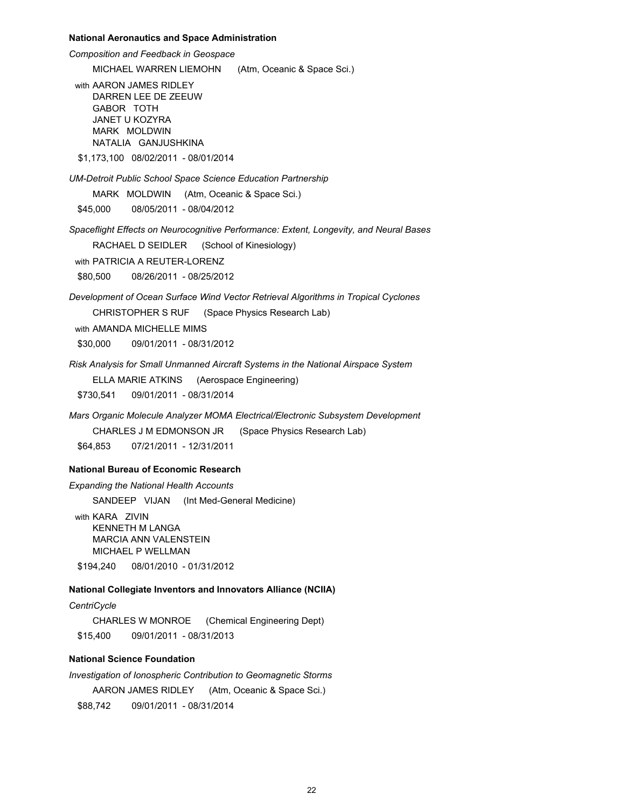#### **National Aeronautics and Space Administration**

*Composition and Feedback in Geospace* MICHAEL WARREN LIEMOHN (Atm, Oceanic & Space Sci.) with AARON JAMES RIDLEY DARREN LEE DE ZEEUW GABOR TOTH JANET U KOZYRA MARK MOLDWIN NATALIA GANJUSHKINA \$1,173,100 08/02/2011 - 08/01/2014

*UM-Detroit Public School Space Science Education Partnership*

MARK MOLDWIN (Atm, Oceanic & Space Sci.)

\$45,000 08/05/2011 - 08/04/2012

*Spaceflight Effects on Neurocognitive Performance: Extent, Longevity, and Neural Bases* RACHAEL D SEIDLER (School of Kinesiology)

with PATRICIA A REUTER-LORENZ

\$80,500 08/26/2011 - 08/25/2012

*Development of Ocean Surface Wind Vector Retrieval Algorithms in Tropical Cyclones* CHRISTOPHER S RUF (Space Physics Research Lab)

with AMANDA MICHELLE MIMS

\$30,000 09/01/2011 - 08/31/2012

*Risk Analysis for Small Unmanned Aircraft Systems in the National Airspace System*

ELLA MARIE ATKINS (Aerospace Engineering)

\$730,541 09/01/2011 - 08/31/2014

*Mars Organic Molecule Analyzer MOMA Electrical/Electronic Subsystem Development* CHARLES J M EDMONSON JR (Space Physics Research Lab)

\$64,853 07/21/2011 - 12/31/2011

## **National Bureau of Economic Research**

*Expanding the National Health Accounts*

SANDEEP VIJAN (Int Med-General Medicine)

with KARA ZIVIN KENNETH M LANGA MARCIA ANN VALENSTEIN MICHAEL P WELLMAN

\$194,240 08/01/2010 - 01/31/2012

## **National Collegiate Inventors and Innovators Alliance (NCIIA)**

#### *CentriCycle*

CHARLES W MONROE (Chemical Engineering Dept) \$15,400 09/01/2011 - 08/31/2013

#### **National Science Foundation**

*Investigation of Ionospheric Contribution to Geomagnetic Storms*

AARON JAMES RIDLEY (Atm, Oceanic & Space Sci.)

\$88,742 09/01/2011 - 08/31/2014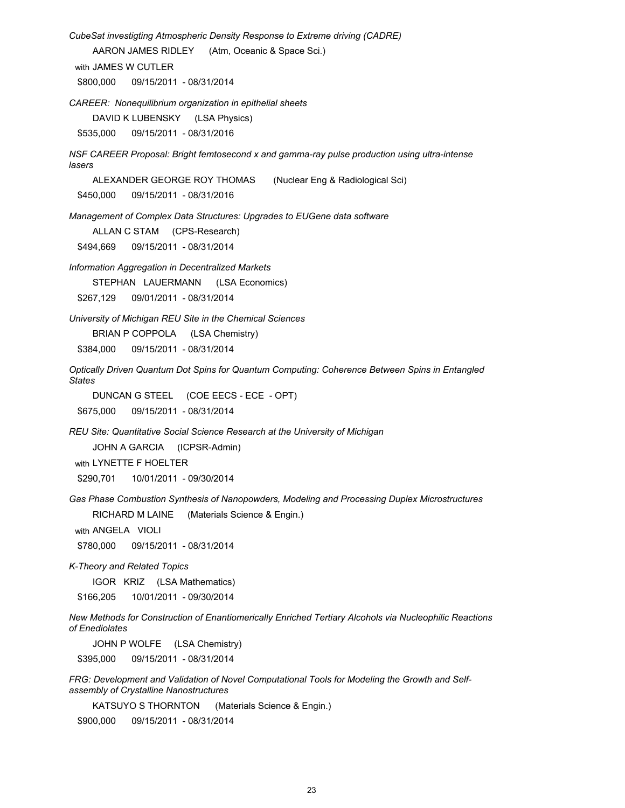*CubeSat investigting Atmospheric Density Response to Extreme driving (CADRE)*

AARON JAMES RIDLEY (Atm, Oceanic & Space Sci.)

with JAMES W CUTLER

\$800,000 09/15/2011 - 08/31/2014

*CAREER: Nonequilibrium organization in epithelial sheets*

DAVID K LUBENSKY (LSA Physics)

\$535,000 09/15/2011 - 08/31/2016

*NSF CAREER Proposal: Bright femtosecond x and gamma-ray pulse production using ultra-intense lasers*

ALEXANDER GEORGE ROY THOMAS (Nuclear Eng & Radiological Sci)

\$450,000 09/15/2011 - 08/31/2016

*Management of Complex Data Structures: Upgrades to EUGene data software*

ALLAN C STAM (CPS-Research)

\$494,669 09/15/2011 - 08/31/2014

*Information Aggregation in Decentralized Markets*

STEPHAN LAUERMANN (LSA Economics)

\$267,129 09/01/2011 - 08/31/2014

*University of Michigan REU Site in the Chemical Sciences*

BRIAN P COPPOLA (LSA Chemistry)

\$384,000 09/15/2011 - 08/31/2014

*Optically Driven Quantum Dot Spins for Quantum Computing: Coherence Between Spins in Entangled States*

DUNCAN G STEEL (COE EECS - ECE - OPT)

\$675,000 09/15/2011 - 08/31/2014

*REU Site: Quantitative Social Science Research at the University of Michigan*

JOHN A GARCIA (ICPSR-Admin)

with LYNETTE F HOELTER

\$290,701 10/01/2011 - 09/30/2014

*Gas Phase Combustion Synthesis of Nanopowders, Modeling and Processing Duplex Microstructures*

RICHARD M LAINE (Materials Science & Engin.)

with ANGELA VIOLI

\$780,000 09/15/2011 - 08/31/2014

*K-Theory and Related Topics*

IGOR KRIZ (LSA Mathematics)

\$166,205 10/01/2011 - 09/30/2014

*New Methods for Construction of Enantiomerically Enriched Tertiary Alcohols via Nucleophilic Reactions of Enediolates*

JOHN P WOLFE (LSA Chemistry)

\$395,000 09/15/2011 - 08/31/2014

*FRG: Development and Validation of Novel Computational Tools for Modeling the Growth and Selfassembly of Crystalline Nanostructures*

KATSUYO S THORNTON (Materials Science & Engin.)

\$900,000 09/15/2011 - 08/31/2014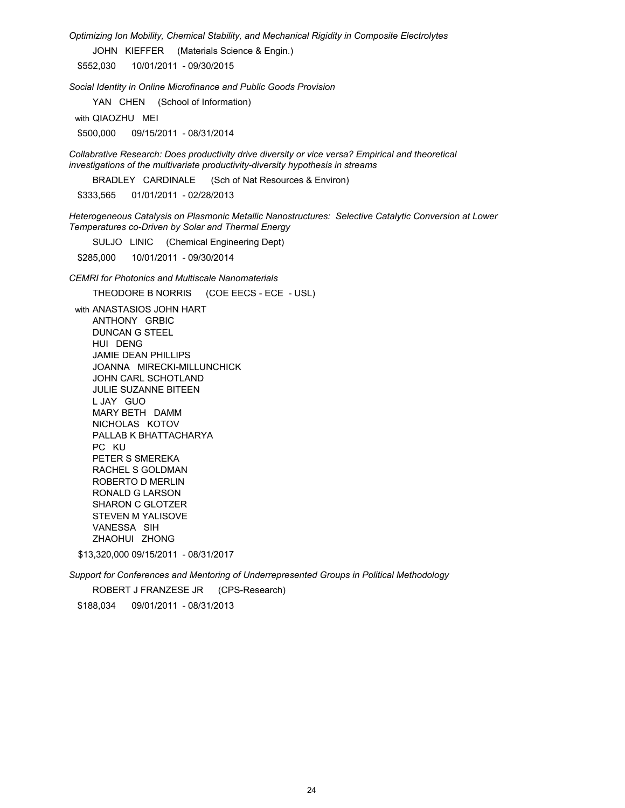*Optimizing Ion Mobility, Chemical Stability, and Mechanical Rigidity in Composite Electrolytes*

JOHN KIEFFER (Materials Science & Engin.)

\$552,030 10/01/2011 - 09/30/2015

*Social Identity in Online Microfinance and Public Goods Provision*

YAN CHEN (School of Information)

with QIAOZHU MEI

\$500,000 09/15/2011 - 08/31/2014

*Collabrative Research: Does productivity drive diversity or vice versa? Empirical and theoretical investigations of the multivariate productivity-diversity hypothesis in streams*

BRADLEY CARDINALE (Sch of Nat Resources & Environ)

\$333,565 01/01/2011 - 02/28/2013

*Heterogeneous Catalysis on Plasmonic Metallic Nanostructures: Selective Catalytic Conversion at Lower Temperatures co-Driven by Solar and Thermal Energy*

SULJO LINIC (Chemical Engineering Dept)

\$285,000 10/01/2011 - 09/30/2014

*CEMRI for Photonics and Multiscale Nanomaterials*

THEODORE B NORRIS (COE EECS - ECE - USL)

with ANASTASIOS JOHN HART ANTHONY GRBIC DUNCAN G STEEL HUI DENG JAMIE DEAN PHILLIPS JOANNA MIRECKI-MILLUNCHICK JOHN CARL SCHOTLAND JULIE SUZANNE BITEEN L JAY GUO MARY BETH DAMM NICHOLAS KOTOV PALLAB K BHATTACHARYA PC KU 2008 PC 2008 PC 2008 PC 2008 PC 2008 PC 2008 PC 2008 PC 2008 PC 2008 PC 2008 PC 2008 PC 2008 PC 2008 PC PETER S SMEREKA RACHEL S GOLDMAN ROBERTO D MERLIN RONALD G LARSON SHARON C GLOTZER STEVEN M YALISOVE VANESSA SIH ZHAOHUI ZHONG

\$13,320,000 09/15/2011 - 08/31/2017

*Support for Conferences and Mentoring of Underrepresented Groups in Political Methodology*

ROBERT J FRANZESE JR (CPS-Research) \$188,034 09/01/2011 - 08/31/2013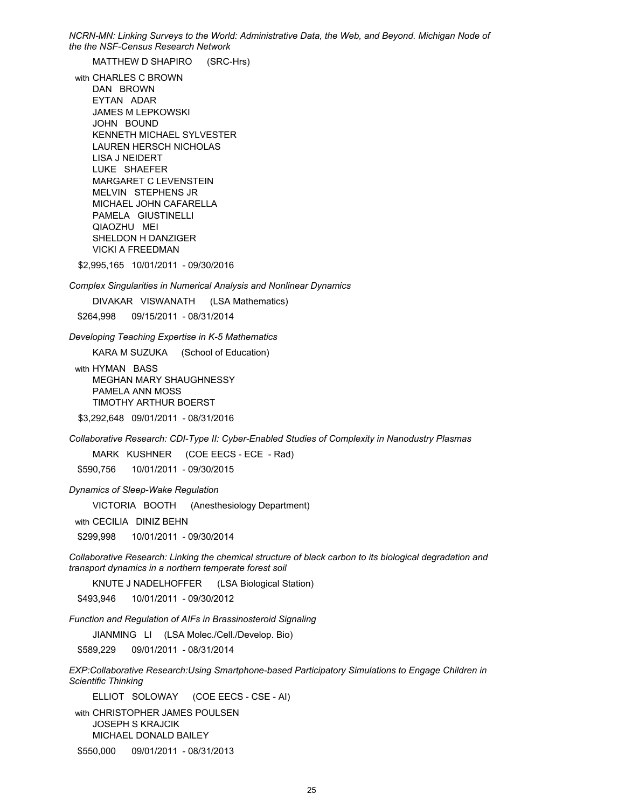*NCRN-MN: Linking Surveys to the World: Administrative Data, the Web, and Beyond. Michigan Node of the the NSF-Census Research Network*

MATTHEW D SHAPIRO (SRC-Hrs)

with CHARLES C BROWN DAN BROWN EYTAN ADAR JAMES M LEPKOWSKI JOHN BOUND KENNETH MICHAEL SYLVESTER LAUREN HERSCH NICHOLAS LISA J NEIDERT LUKE SHAEFER MARGARET C LEVENSTEIN MELVIN STEPHENS JR MICHAEL JOHN CAFARELLA PAMELA GIUSTINELLI QIAOZHU MEI SHELDON H DANZIGER VICKI A FREEDMAN

\$2,995,165 10/01/2011 - 09/30/2016

*Complex Singularities in Numerical Analysis and Nonlinear Dynamics*

DIVAKAR VISWANATH (LSA Mathematics)

\$264,998 09/15/2011 - 08/31/2014

*Developing Teaching Expertise in K-5 Mathematics*

KARA M SUZUKA (School of Education)

with HYMAN BASS MEGHAN MARY SHAUGHNESSY PAMELA ANN MOSS TIMOTHY ARTHUR BOERST

\$3,292,648 09/01/2011 - 08/31/2016

*Collaborative Research: CDI-Type II: Cyber-Enabled Studies of Complexity in Nanodustry Plasmas*

MARK KUSHNER (COE EECS - ECE - Rad)

\$590,756 10/01/2011 - 09/30/2015

*Dynamics of Sleep-Wake Regulation*

VICTORIA BOOTH (Anesthesiology Department)

with CECILIA DINIZ BEHN

\$299,998 10/01/2011 - 09/30/2014

*Collaborative Research: Linking the chemical structure of black carbon to its biological degradation and transport dynamics in a northern temperate forest soil*

KNUTE J NADELHOFFER (LSA Biological Station)

\$493,946 10/01/2011 - 09/30/2012

*Function and Regulation of AIFs in Brassinosteroid Signaling*

JIANMING LI (LSA Molec./Cell./Develop. Bio)

\$589,229 09/01/2011 - 08/31/2014

*EXP:Collaborative Research:Using Smartphone-based Participatory Simulations to Engage Children in Scientific Thinking*

ELLIOT SOLOWAY (COE EECS - CSE - AI)

with CHRISTOPHER JAMES POULSEN JOSEPH S KRAJCIK MICHAEL DONALD BAILEY

\$550,000 09/01/2011 - 08/31/2013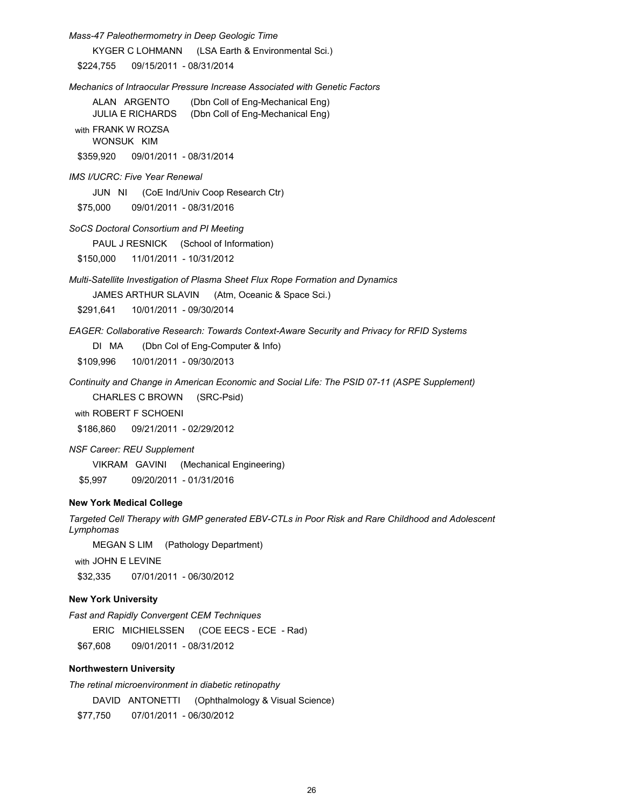*Mass-47 Paleothermometry in Deep Geologic Time*

KYGER C LOHMANN (LSA Earth & Environmental Sci.)

\$224,755 09/15/2011 - 08/31/2014

*Mechanics of Intraocular Pressure Increase Associated with Genetic Factors*

ALAN ARGENTO (Dbn Coll of Eng-Mechanical Eng) JULIA E RICHARDS (Dbn Coll of Eng-Mechanical Eng)

with FRANK W ROZSA WONSUK KIM

\$359,920 09/01/2011 - 08/31/2014

*IMS I/UCRC: Five Year Renewal*

JUN NI (CoE Ind/Univ Coop Research Ctr)

\$75,000 09/01/2011 - 08/31/2016

*SoCS Doctoral Consortium and PI Meeting*

PAUL J RESNICK (School of Information)

\$150,000 11/01/2011 - 10/31/2012

*Multi-Satellite Investigation of Plasma Sheet Flux Rope Formation and Dynamics*

JAMES ARTHUR SLAVIN (Atm, Oceanic & Space Sci.)

\$291,641 10/01/2011 - 09/30/2014

*EAGER: Collaborative Research: Towards Context-Aware Security and Privacy for RFID Systems*

DI MA (Dbn Col of Eng-Computer & Info)

\$109,996 10/01/2011 - 09/30/2013

*Continuity and Change in American Economic and Social Life: The PSID 07-11 (ASPE Supplement)*

CHARLES C BROWN (SRC-Psid)

with ROBERT F SCHOENI

\$186,860 09/21/2011 - 02/29/2012

*NSF Career: REU Supplement*

VIKRAM GAVINI (Mechanical Engineering)

\$5,997 09/20/2011 - 01/31/2016

## **New York Medical College**

*Targeted Cell Therapy with GMP generated EBV-CTLs in Poor Risk and Rare Childhood and Adolescent Lymphomas*

MEGAN S LIM (Pathology Department)

with JOHN E LEVINE

\$32,335 07/01/2011 - 06/30/2012

### **New York University**

*Fast and Rapidly Convergent CEM Techniques*

ERIC MICHIELSSEN (COE EECS - ECE - Rad)

\$67,608 09/01/2011 - 08/31/2012

## **Northwestern University**

*The retinal microenvironment in diabetic retinopathy* DAVID ANTONETTI (Ophthalmology & Visual Science) \$77,750 07/01/2011 - 06/30/2012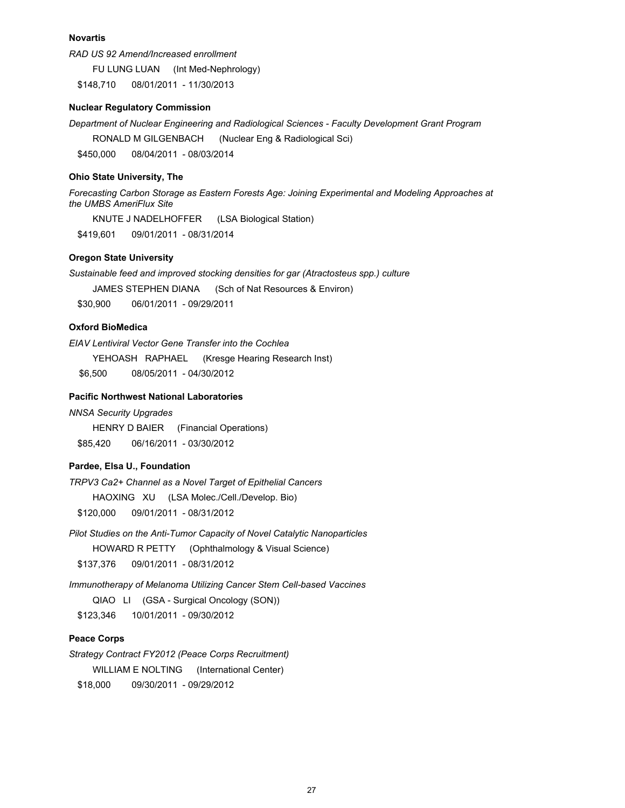#### **Novartis**

*RAD US 92 Amend/Increased enrollment*

FU LUNG LUAN (Int Med-Nephrology)

\$148,710 08/01/2011 - 11/30/2013

## **Nuclear Regulatory Commission**

*Department of Nuclear Engineering and Radiological Sciences - Faculty Development Grant Program* RONALD M GILGENBACH (Nuclear Eng & Radiological Sci) \$450,000 08/04/2011 - 08/03/2014

#### **Ohio State University, The**

*Forecasting Carbon Storage as Eastern Forests Age: Joining Experimental and Modeling Approaches at the UMBS AmeriFlux Site*

KNUTE J NADELHOFFER (LSA Biological Station)

\$419,601 09/01/2011 - 08/31/2014

## **Oregon State University**

*Sustainable feed and improved stocking densities for gar (Atractosteus spp.) culture*

JAMES STEPHEN DIANA (Sch of Nat Resources & Environ)

\$30,900 06/01/2011 - 09/29/2011

## **Oxford BioMedica**

*EIAV Lentiviral Vector Gene Transfer into the Cochlea*

YEHOASH RAPHAEL (Kresge Hearing Research Inst)

\$6,500 08/05/2011 - 04/30/2012

## **Pacific Northwest National Laboratories**

*NNSA Security Upgrades*

HENRY D BAIER (Financial Operations) \$85,420 06/16/2011 - 03/30/2012

#### **Pardee, Elsa U., Foundation**

*TRPV3 Ca2+ Channel as a Novel Target of Epithelial Cancers* HAOXING XU (LSA Molec./Cell./Develop. Bio) \$120,000 09/01/2011 - 08/31/2012

*Pilot Studies on the Anti-Tumor Capacity of Novel Catalytic Nanoparticles* HOWARD R PETTY (Ophthalmology & Visual Science)

\$137,376 09/01/2011 - 08/31/2012

*Immunotherapy of Melanoma Utilizing Cancer Stem Cell-based Vaccines*

QIAO LI (GSA - Surgical Oncology (SON))

\$123,346 10/01/2011 - 09/30/2012

## **Peace Corps**

*Strategy Contract FY2012 (Peace Corps Recruitment)*  WILLIAM E NOLTING (International Center) \$18,000 09/30/2011 - 09/29/2012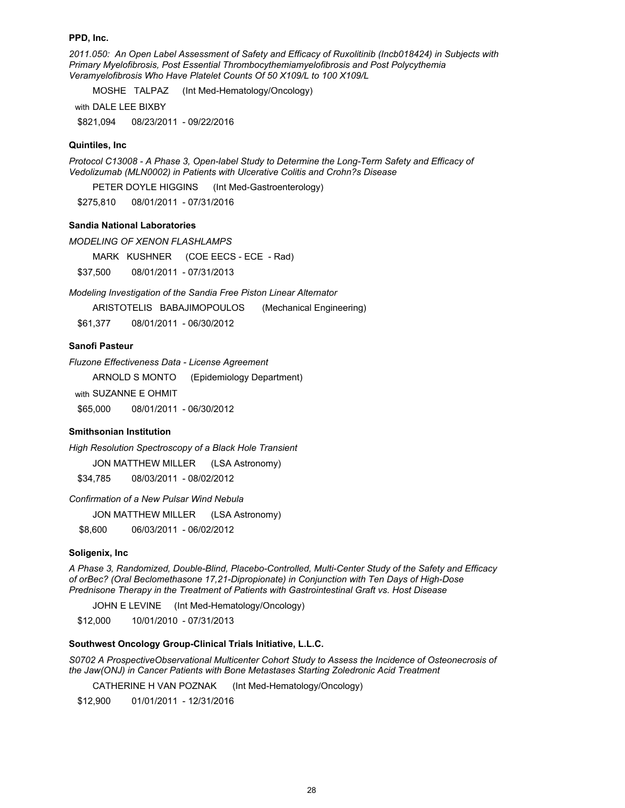#### **PPD, Inc.**

*2011.050: An Open Label Assessment of Safety and Efficacy of Ruxolitinib (Incb018424) in Subjects with Primary Myelofibrosis, Post Essential Thrombocythemiamyelofibrosis and Post Polycythemia Veramyelofibrosis Who Have Platelet Counts Of 50 X109/L to 100 X109/L*

MOSHE TALPAZ (Int Med-Hematology/Oncology)

with DALE LEE BIXBY

\$821,094 08/23/2011 - 09/22/2016

### **Quintiles, Inc**

*Protocol C13008 - A Phase 3, Open-label Study to Determine the Long-Term Safety and Efficacy of Vedolizumab (MLN0002) in Patients with Ulcerative Colitis and Crohn?s Disease* 

PETER DOYLE HIGGINS (Int Med-Gastroenterology)

\$275,810 08/01/2011 - 07/31/2016

### **Sandia National Laboratories**

*MODELING OF XENON FLASHLAMPS*

MARK KUSHNER (COE EECS - ECE - Rad)

\$37,500 08/01/2011 - 07/31/2013

*Modeling Investigation of the Sandia Free Piston Linear Alternator*

ARISTOTELIS BABAJIMOPOULOS (Mechanical Engineering)

\$61,377 08/01/2011 - 06/30/2012

## **Sanofi Pasteur**

*Fluzone Effectiveness Data - License Agreement*  ARNOLD S MONTO (Epidemiology Department) with SUZANNE E OHMIT \$65,000 08/01/2011 - 06/30/2012

## **Smithsonian Institution**

*High Resolution Spectroscopy of a Black Hole Transient*

JON MATTHEW MILLER (LSA Astronomy)

\$34,785 08/03/2011 - 08/02/2012

*Confirmation of a New Pulsar Wind Nebula*

JON MATTHEW MILLER (LSA Astronomy)

\$8,600 06/03/2011 - 06/02/2012

#### **Soligenix, Inc**

*A Phase 3, Randomized, Double-Blind, Placebo-Controlled, Multi-Center Study of the Safety and Efficacy of orBec? (Oral Beclomethasone 17,21-Dipropionate) in Conjunction with Ten Days of High-Dose Prednisone Therapy in the Treatment of Patients with Gastrointestinal Graft vs. Host Disease*

JOHN E LEVINE (Int Med-Hematology/Oncology)

\$12,000 10/01/2010 - 07/31/2013

#### **Southwest Oncology Group-Clinical Trials Initiative, L.L.C.**

*S0702 A ProspectiveObservational Multicenter Cohort Study to Assess the Incidence of Osteonecrosis of the Jaw(ONJ) in Cancer Patients with Bone Metastases Starting Zoledronic Acid Treatment*

CATHERINE H VAN POZNAK (Int Med-Hematology/Oncology)

\$12,900 01/01/2011 - 12/31/2016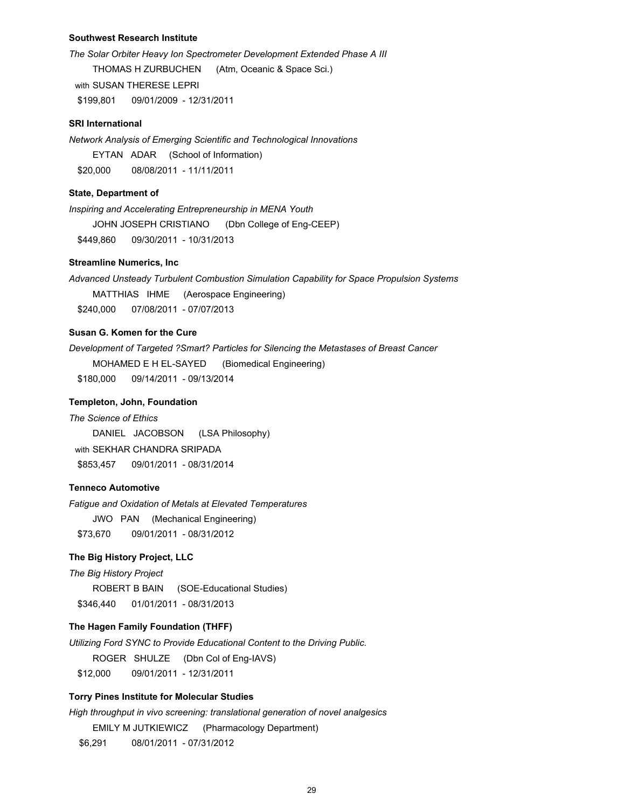### **Southwest Research Institute**

*The Solar Orbiter Heavy Ion Spectrometer Development Extended Phase A III*  THOMAS H ZURBUCHEN (Atm, Oceanic & Space Sci.) with SUSAN THERESE LEPRI \$199,801 09/01/2009 - 12/31/2011

#### **SRI International**

*Network Analysis of Emerging Scientific and Technological Innovations* EYTAN ADAR (School of Information) \$20,000 08/08/2011 - 11/11/2011

#### **State, Department of**

*Inspiring and Accelerating Entrepreneurship in MENA Youth* JOHN JOSEPH CRISTIANO (Dbn College of Eng-CEEP) \$449,860 09/30/2011 - 10/31/2013

## **Streamline Numerics, Inc**

*Advanced Unsteady Turbulent Combustion Simulation Capability for Space Propulsion Systems* MATTHIAS IHME (Aerospace Engineering) \$240,000 07/08/2011 - 07/07/2013

## **Susan G. Komen for the Cure**

*Development of Targeted ?Smart? Particles for Silencing the Metastases of Breast Cancer* MOHAMED E H EL-SAYED (Biomedical Engineering) \$180,000 09/14/2011 - 09/13/2014

#### **Templeton, John, Foundation**

*The Science of Ethics* DANIEL JACOBSON (LSA Philosophy) with SEKHAR CHANDRA SRIPADA \$853,457 09/01/2011 - 08/31/2014

## **Tenneco Automotive**

*Fatigue and Oxidation of Metals at Elevated Temperatures*

JWO PAN (Mechanical Engineering) \$73,670 09/01/2011 - 08/31/2012

# **The Big History Project, LLC**

*The Big History Project*

ROBERT B BAIN (SOE-Educational Studies)

\$346,440 01/01/2011 - 08/31/2013

## **The Hagen Family Foundation (THFF)**

*Utilizing Ford SYNC to Provide Educational Content to the Driving Public.* 

ROGER SHULZE (Dbn Col of Eng-IAVS)

\$12,000 09/01/2011 - 12/31/2011

## **Torry Pines Institute for Molecular Studies**

*High throughput in vivo screening: translational generation of novel analgesics* EMILY M JUTKIEWICZ (Pharmacology Department) \$6,291 08/01/2011 - 07/31/2012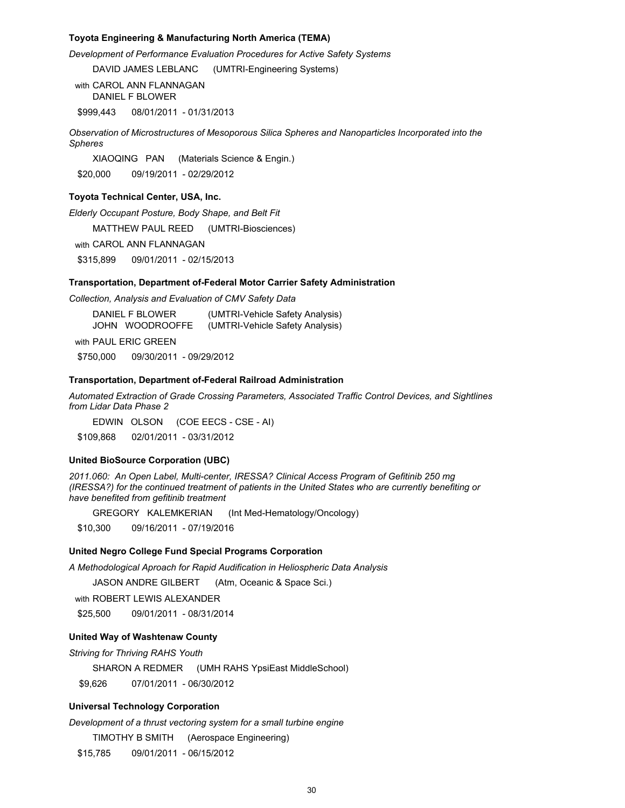### **Toyota Engineering & Manufacturing North America (TEMA)**

*Development of Performance Evaluation Procedures for Active Safety Systems*

DAVID JAMES LEBLANC (UMTRI-Engineering Systems)

with CAROL ANN FLANNAGAN DANIEL F BLOWER

\$999,443 08/01/2011 - 01/31/2013

*Observation of Microstructures of Mesoporous Silica Spheres and Nanoparticles Incorporated into the Spheres*

XIAOQING PAN (Materials Science & Engin.) \$20,000 09/19/2011 - 02/29/2012

#### **Toyota Technical Center, USA, Inc.**

*Elderly Occupant Posture, Body Shape, and Belt Fit*

MATTHEW PAUL REED (UMTRI-Biosciences)

with CAROL ANN FLANNAGAN

\$315,899 09/01/2011 - 02/15/2013

### **Transportation, Department of-Federal Motor Carrier Safety Administration**

*Collection, Analysis and Evaluation of CMV Safety Data*

DANIEL F BLOWER (UMTRI-Vehicle Safety Analysis) JOHN WOODROOFFE (UMTRI-Vehicle Safety Analysis) with PAUL ERIC GREEN

\$750,000 09/30/2011 - 09/29/2012

## **Transportation, Department of-Federal Railroad Administration**

*Automated Extraction of Grade Crossing Parameters, Associated Traffic Control Devices, and Sightlines from Lidar Data Phase 2*

EDWIN OLSON (COE EECS - CSE - AI)

\$109,868 02/01/2011 - 03/31/2012

#### **United BioSource Corporation (UBC)**

*2011.060: An Open Label, Multi-center, IRESSA? Clinical Access Program of Gefitinib 250 mg (IRESSA?) for the continued treatment of patients in the United States who are currently benefiting or have benefited from gefitinib treatment*

GREGORY KALEMKERIAN (Int Med-Hematology/Oncology)

\$10,300 09/16/2011 - 07/19/2016

#### **United Negro College Fund Special Programs Corporation**

*A Methodological Aproach for Rapid Audification in Heliospheric Data Analysis*

JASON ANDRE GILBERT (Atm, Oceanic & Space Sci.)

with ROBERT LEWIS ALEXANDER

\$25,500 09/01/2011 - 08/31/2014

#### **United Way of Washtenaw County**

*Striving for Thriving RAHS Youth*

SHARON A REDMER (UMH RAHS YpsiEast MiddleSchool)

\$9,626 07/01/2011 - 06/30/2012

## **Universal Technology Corporation**

*Development of a thrust vectoring system for a small turbine engine*

TIMOTHY B SMITH (Aerospace Engineering)

\$15,785 09/01/2011 - 06/15/2012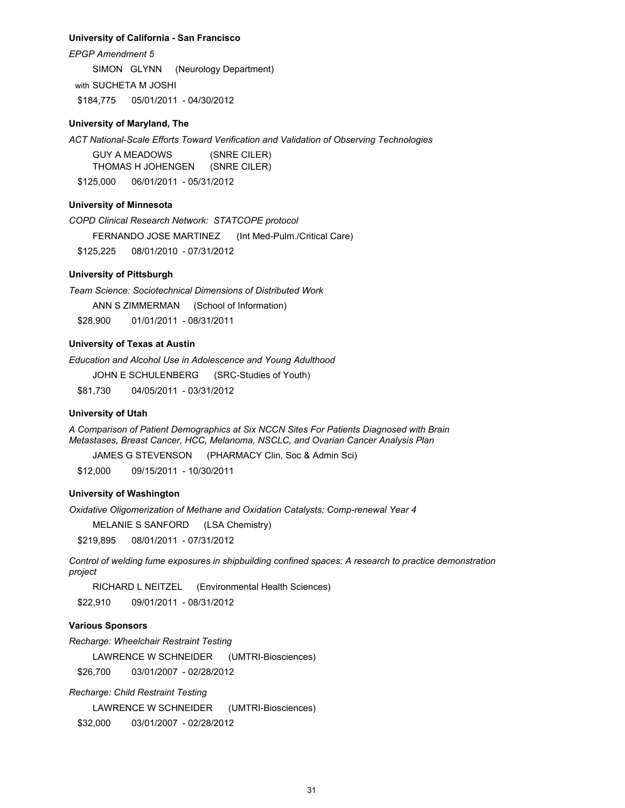#### **University of California - San Francisco**

*EPGP Amendment 5*

SIMON GLYNN (Neurology Department)

with SUCHETA M JOSHI

\$184,775 05/01/2011 - 04/30/2012

### **University of Maryland, The**

*ACT National-Scale Efforts Toward Verification and Validation of Observing Technologies*

GUY A MEADOWS (SNRE CILER) THOMAS H JOHENGEN (SNRE CILER)

\$125,000 06/01/2011 - 05/31/2012

## **University of Minnesota**

*COPD Clinical Research Network: STATCOPE protocol*

FERNANDO JOSE MARTINEZ (Int Med-Pulm./Critical Care)

\$125,225 08/01/2010 - 07/31/2012

## **University of Pittsburgh**

*Team Science: Sociotechnical Dimensions of Distributed Work*

ANN S ZIMMERMAN (School of Information)

\$28,900 01/01/2011 - 08/31/2011

## **University of Texas at Austin**

*Education and Alcohol Use in Adolescence and Young Adulthood*

JOHN E SCHULENBERG (SRC-Studies of Youth)

\$81,730 04/05/2011 - 03/31/2012

### **University of Utah**

*A Comparison of Patient Demographics at Six NCCN Sites For Patients Diagnosed with Brain Metastases, Breast Cancer, HCC, Melanoma, NSCLC, and Ovarian Cancer Analysis Plan* 

JAMES G STEVENSON (PHARMACY Clin, Soc & Admin Sci)

\$12,000 09/15/2011 - 10/30/2011

## **University of Washington**

*Oxidative Oligomerization of Methane and Oxidation Catalysts: Comp-renewal Year 4*

MELANIE S SANFORD (LSA Chemistry)

\$219,895 08/01/2011 - 07/31/2012

*Control of welding fume exposures in shipbuilding confined spaces: A research to practice demonstration project* 

RICHARD L NEITZEL (Environmental Health Sciences)

\$22,910 09/01/2011 - 08/31/2012

## **Various Sponsors**

*Recharge: Wheelchair Restraint Testing*

LAWRENCE W SCHNEIDER (UMTRI-Biosciences)

\$26,700 03/01/2007 - 02/28/2012

*Recharge: Child Restraint Testing*

LAWRENCE W SCHNEIDER (UMTRI-Biosciences)

\$32,000 03/01/2007 - 02/28/2012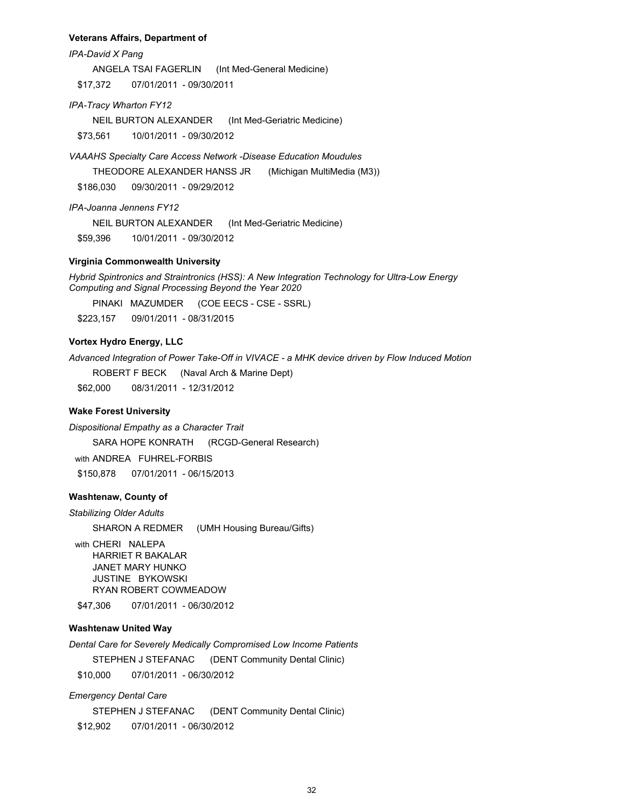#### **Veterans Affairs, Department of**

*IPA-David X Pang*

ANGELA TSAI FAGERLIN (Int Med-General Medicine)

\$17,372 07/01/2011 - 09/30/2011

*IPA-Tracy Wharton FY12*

NEIL BURTON ALEXANDER (Int Med-Geriatric Medicine)

\$73,561 10/01/2011 - 09/30/2012

*VAAAHS Specialty Care Access Network -Disease Education Moudules*

THEODORE ALEXANDER HANSS JR (Michigan MultiMedia (M3))

\$186,030 09/30/2011 - 09/29/2012

*IPA-Joanna Jennens FY12*

NEIL BURTON ALEXANDER (Int Med-Geriatric Medicine)

\$59,396 10/01/2011 - 09/30/2012

#### **Virginia Commonwealth University**

*Hybrid Spintronics and Straintronics (HSS): A New Integration Technology for Ultra-Low Energy Computing and Signal Processing Beyond the Year 2020* 

PINAKI MAZUMDER (COE EECS - CSE - SSRL)

\$223,157 09/01/2011 - 08/31/2015

## **Vortex Hydro Energy, LLC**

*Advanced Integration of Power Take-Off in VIVACE - a MHK device driven by Flow Induced Motion*

ROBERT F BECK (Naval Arch & Marine Dept)

\$62,000 08/31/2011 - 12/31/2012

### **Wake Forest University**

*Dispositional Empathy as a Character Trait*

SARA HOPE KONRATH (RCGD-General Research)

with ANDREA FUHREL-FORBIS

\$150,878 07/01/2011 - 06/15/2013

### **Washtenaw, County of**

*Stabilizing Older Adults*

SHARON A REDMER (UMH Housing Bureau/Gifts)

with CHERI NALEPA HARRIET R BAKALAR JANET MARY HUNKO JUSTINE BYKOWSKI RYAN ROBERT COWMEADOW

\$47,306 07/01/2011 - 06/30/2012

## **Washtenaw United Way**

*Dental Care for Severely Medically Compromised Low Income Patients*

STEPHEN J STEFANAC (DENT Community Dental Clinic)

\$10,000 07/01/2011 - 06/30/2012

## *Emergency Dental Care*

STEPHEN J STEFANAC (DENT Community Dental Clinic)

\$12,902 07/01/2011 - 06/30/2012